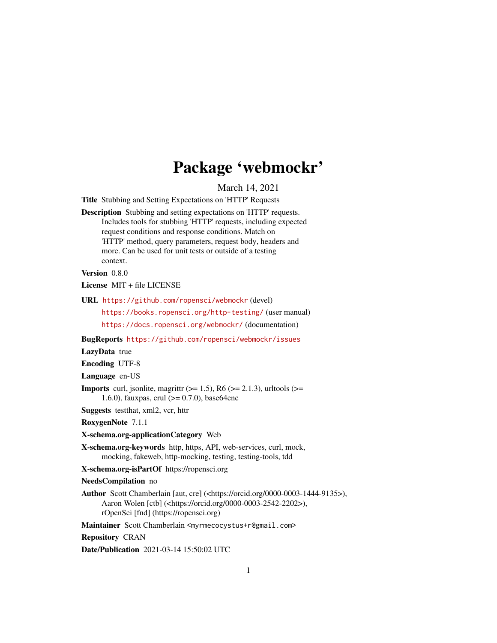# Package 'webmockr'

March 14, 2021

<span id="page-0-0"></span>Title Stubbing and Setting Expectations on 'HTTP' Requests

Description Stubbing and setting expectations on 'HTTP' requests. Includes tools for stubbing 'HTTP' requests, including expected request conditions and response conditions. Match on 'HTTP' method, query parameters, request body, headers and more. Can be used for unit tests or outside of a testing context.

Version 0.8.0

License MIT + file LICENSE

URL <https://github.com/ropensci/webmockr> (devel)

<https://books.ropensci.org/http-testing/> (user manual) <https://docs.ropensci.org/webmockr/> (documentation)

BugReports <https://github.com/ropensci/webmockr/issues>

LazyData true

Encoding UTF-8

Language en-US

**Imports** curl, jsonlite, magrittr  $(>= 1.5)$ , R6  $(>= 2.1.3)$ , urltools  $(>= 1.5)$ 1.6.0), fauxpas, crul  $(>= 0.7.0)$ , base64enc

Suggests testthat, xml2, vcr, httr

RoxygenNote 7.1.1

X-schema.org-applicationCategory Web

X-schema.org-keywords http, https, API, web-services, curl, mock, mocking, fakeweb, http-mocking, testing, testing-tools, tdd

X-schema.org-isPartOf https://ropensci.org

NeedsCompilation no

Author Scott Chamberlain [aut, cre] (<https://orcid.org/0000-0003-1444-9135>), Aaron Wolen [ctb] (<https://orcid.org/0000-0003-2542-2202>), rOpenSci [fnd] (https://ropensci.org)

Maintainer Scott Chamberlain <myrmecocystus+r@gmail.com>

Repository CRAN

Date/Publication 2021-03-14 15:50:02 UTC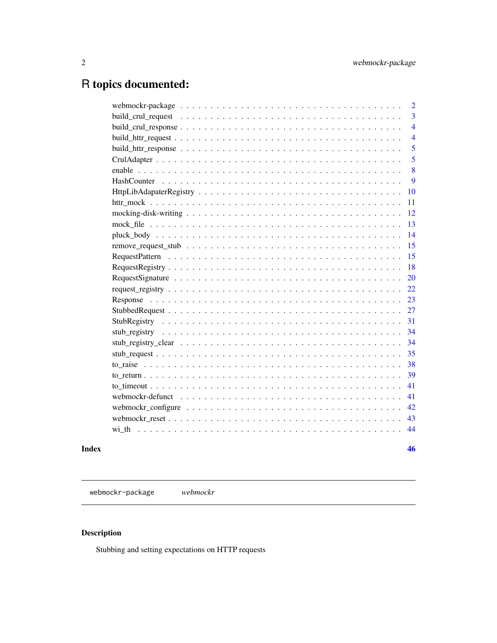# <span id="page-1-0"></span>R topics documented:

|  |  |  |  |  |  |  |  |  |  |  | $\overline{2}$ |
|--|--|--|--|--|--|--|--|--|--|--|----------------|
|  |  |  |  |  |  |  |  |  |  |  | $\overline{3}$ |
|  |  |  |  |  |  |  |  |  |  |  | $\overline{4}$ |
|  |  |  |  |  |  |  |  |  |  |  | $\overline{4}$ |
|  |  |  |  |  |  |  |  |  |  |  | 5              |
|  |  |  |  |  |  |  |  |  |  |  | 5              |
|  |  |  |  |  |  |  |  |  |  |  | 8              |
|  |  |  |  |  |  |  |  |  |  |  | 9              |
|  |  |  |  |  |  |  |  |  |  |  | 10             |
|  |  |  |  |  |  |  |  |  |  |  | 11             |
|  |  |  |  |  |  |  |  |  |  |  | 12             |
|  |  |  |  |  |  |  |  |  |  |  | 13             |
|  |  |  |  |  |  |  |  |  |  |  | 14             |
|  |  |  |  |  |  |  |  |  |  |  | 15             |
|  |  |  |  |  |  |  |  |  |  |  | 15             |
|  |  |  |  |  |  |  |  |  |  |  | 18             |
|  |  |  |  |  |  |  |  |  |  |  | 20             |
|  |  |  |  |  |  |  |  |  |  |  | 22             |
|  |  |  |  |  |  |  |  |  |  |  | 23             |
|  |  |  |  |  |  |  |  |  |  |  | 27             |
|  |  |  |  |  |  |  |  |  |  |  | 31             |
|  |  |  |  |  |  |  |  |  |  |  | 34             |
|  |  |  |  |  |  |  |  |  |  |  | 34             |
|  |  |  |  |  |  |  |  |  |  |  | 35             |
|  |  |  |  |  |  |  |  |  |  |  | 38             |
|  |  |  |  |  |  |  |  |  |  |  | 39             |
|  |  |  |  |  |  |  |  |  |  |  | 41             |
|  |  |  |  |  |  |  |  |  |  |  | 41             |
|  |  |  |  |  |  |  |  |  |  |  | 42             |
|  |  |  |  |  |  |  |  |  |  |  | 43             |
|  |  |  |  |  |  |  |  |  |  |  | 44             |
|  |  |  |  |  |  |  |  |  |  |  |                |
|  |  |  |  |  |  |  |  |  |  |  | 46             |

webmockr-package *webmockr*

## Description

Stubbing and setting expectations on HTTP requests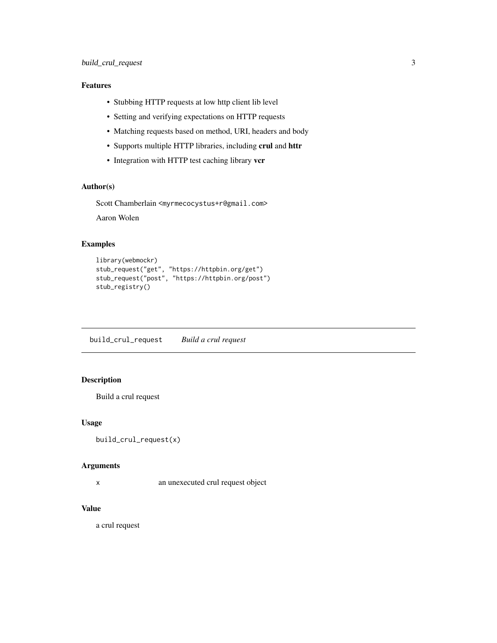### <span id="page-2-0"></span>Features

- Stubbing HTTP requests at low http client lib level
- Setting and verifying expectations on HTTP requests
- Matching requests based on method, URI, headers and body
- Supports multiple HTTP libraries, including crul and httr
- Integration with HTTP test caching library vcr

### Author(s)

Scott Chamberlain <myrmecocystus+r@gmail.com>

Aaron Wolen

#### Examples

```
library(webmockr)
stub_request("get", "https://httpbin.org/get")
stub_request("post", "https://httpbin.org/post")
stub_registry()
```
build\_crul\_request *Build a crul request*

### Description

Build a crul request

#### Usage

```
build_crul_request(x)
```
#### Arguments

x an unexecuted crul request object

### Value

a crul request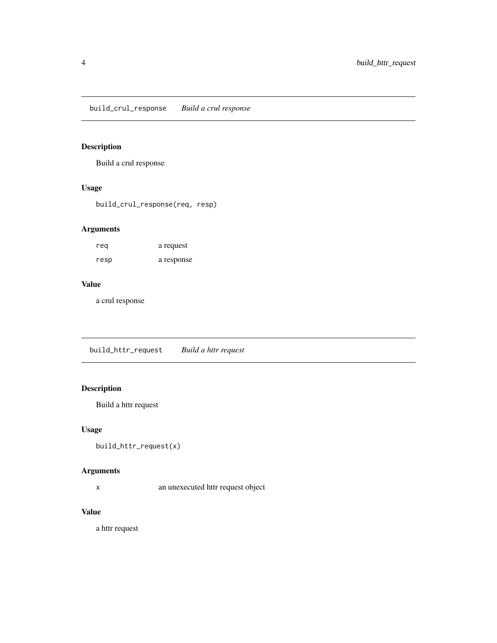<span id="page-3-0"></span>build\_crul\_response *Build a crul response*

### Description

Build a crul response

### Usage

build\_crul\_response(req, resp)

### Arguments

| reg  | a request  |
|------|------------|
| resp | a response |

### Value

a crul response

build\_httr\_request *Build a httr request*

### Description

Build a httr request

### Usage

```
build_httr_request(x)
```
### Arguments

x an unexecuted httr request object

### Value

a httr request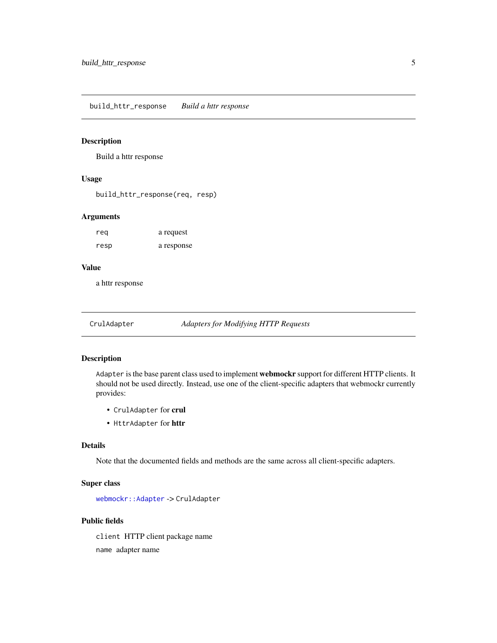<span id="page-4-0"></span>build\_httr\_response *Build a httr response*

#### Description

Build a httr response

### Usage

build\_httr\_response(req, resp)

#### Arguments

| rea  | a request  |
|------|------------|
| resp | a response |

#### Value

a httr response

<span id="page-4-1"></span>CrulAdapter *Adapters for Modifying HTTP Requests*

#### Description

Adapter is the base parent class used to implement webmockr support for different HTTP clients. It should not be used directly. Instead, use one of the client-specific adapters that webmockr currently provides:

- CrulAdapter for crul
- HttrAdapter for httr

#### Details

Note that the documented fields and methods are the same across all client-specific adapters.

#### Super class

[webmockr::Adapter](#page-0-0) -> CrulAdapter

#### Public fields

client HTTP client package name name adapter name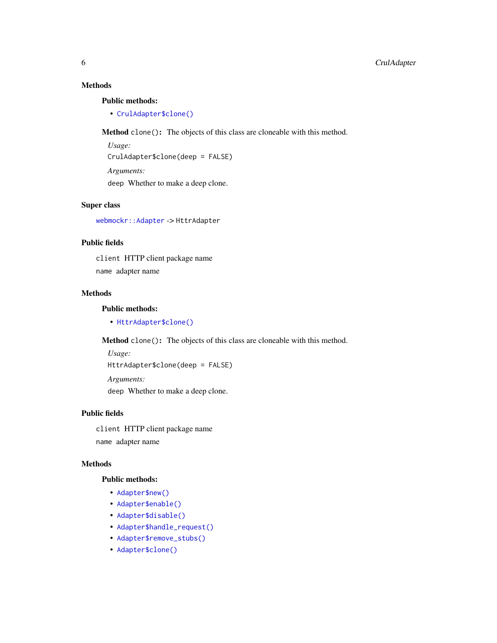### <span id="page-5-2"></span>Methods

#### Public methods:

• [CrulAdapter\\$clone\(\)](#page-5-0)

<span id="page-5-0"></span>Method clone(): The objects of this class are cloneable with this method.

*Usage:* CrulAdapter\$clone(deep = FALSE) *Arguments:* deep Whether to make a deep clone.

### Super class

[webmockr::Adapter](#page-0-0) -> HttrAdapter

### Public fields

client HTTP client package name name adapter name

#### Methods

#### Public methods:

• [HttrAdapter\\$clone\(\)](#page-5-0)

Method clone(): The objects of this class are cloneable with this method.

```
Usage:
HttrAdapter$clone(deep = FALSE)
Arguments:
```
deep Whether to make a deep clone.

### Public fields

client HTTP client package name name adapter name

#### Methods

#### Public methods:

- [Adapter\\$new\(\)](#page-5-1)
- [Adapter\\$enable\(\)](#page-6-0)
- [Adapter\\$disable\(\)](#page-6-1)
- [Adapter\\$handle\\_request\(\)](#page-6-2)
- [Adapter\\$remove\\_stubs\(\)](#page-6-3)
- <span id="page-5-1"></span>• [Adapter\\$clone\(\)](#page-5-0)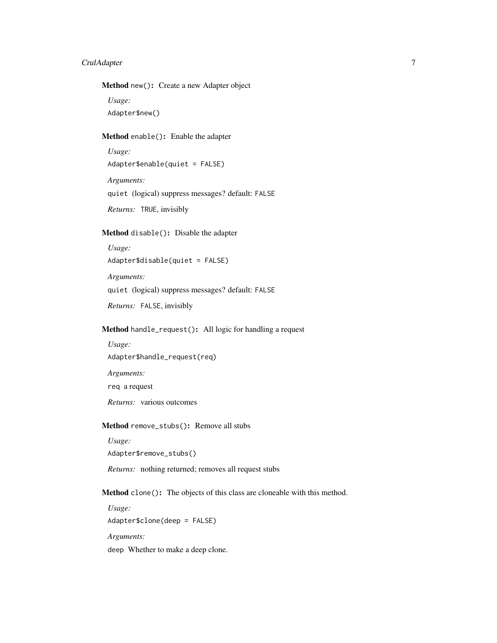### CrulAdapter 7

#### Method new(): Create a new Adapter object

*Usage:*

Adapter\$new()

### <span id="page-6-0"></span>Method enable(): Enable the adapter

*Usage:* Adapter\$enable(quiet = FALSE) *Arguments:* quiet (logical) suppress messages? default: FALSE *Returns:* TRUE, invisibly

### <span id="page-6-1"></span>Method disable(): Disable the adapter

*Usage:* Adapter\$disable(quiet = FALSE) *Arguments:* quiet (logical) suppress messages? default: FALSE *Returns:* FALSE, invisibly

#### <span id="page-6-2"></span>Method handle\_request(): All logic for handling a request

*Usage:* Adapter\$handle\_request(req) *Arguments:*

req a request

*Returns:* various outcomes

#### <span id="page-6-3"></span>Method remove\_stubs(): Remove all stubs

*Usage:* Adapter\$remove\_stubs()

*Returns:* nothing returned; removes all request stubs

#### Method clone(): The objects of this class are cloneable with this method.

*Usage:* Adapter\$clone(deep = FALSE) *Arguments:*

deep Whether to make a deep clone.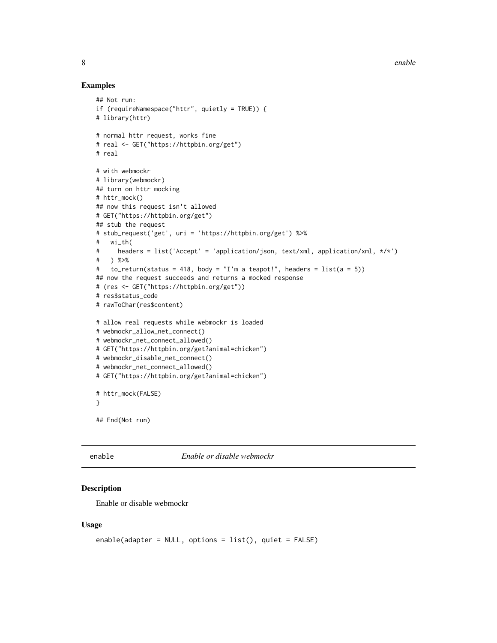8 enable to the contract of the contract of the contract of the contract of the contract of the contract of the contract of the contract of the contract of the contract of the contract of the contract of the contract of th

### Examples

```
## Not run:
if (requireNamespace("httr", quietly = TRUE)) {
# library(httr)
# normal httr request, works fine
# real <- GET("https://httpbin.org/get")
# real
# with webmockr
# library(webmockr)
## turn on httr mocking
# httr_mock()
## now this request isn't allowed
# GET("https://httpbin.org/get")
## stub the request
# stub_request('get', uri = 'https://httpbin.org/get') %>%
# wi_th(
# headers = list('Accept' = 'application/json, text/xml, application/xml, */*')
# ) %>%
# to_return(status = 418, body = "I'm a teapot!", headers = list(a = 5))
## now the request succeeds and returns a mocked response
# (res <- GET("https://httpbin.org/get"))
# res$status_code
# rawToChar(res$content)
# allow real requests while webmockr is loaded
# webmockr_allow_net_connect()
# webmockr_net_connect_allowed()
# GET("https://httpbin.org/get?animal=chicken")
# webmockr_disable_net_connect()
# webmockr_net_connect_allowed()
# GET("https://httpbin.org/get?animal=chicken")
# httr_mock(FALSE)
}
## End(Not run)
```
<span id="page-7-1"></span>

enable *Enable or disable webmockr*

#### <span id="page-7-2"></span>**Description**

Enable or disable webmockr

#### Usage

```
enable(adapter = NULL, options = list(), quiet = FALSE)
```
<span id="page-7-0"></span>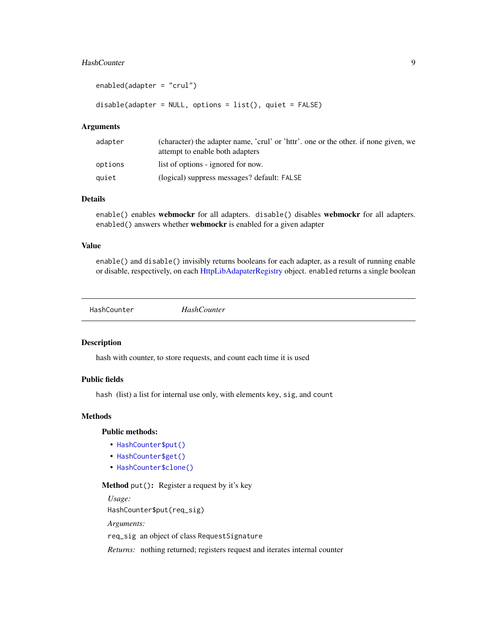#### <span id="page-8-0"></span>HashCounter 9

```
enabled(adapter = "crul")
```
disable(adapter = NULL, options = list(), quiet = FALSE)

#### Arguments

| adapter | (character) the adapter name, 'crul' or 'httr', one or the other, if none given, we<br>attempt to enable both adapters |
|---------|------------------------------------------------------------------------------------------------------------------------|
| options | list of options - ignored for now.                                                                                     |
| quiet   | (logical) suppress messages? default: FALSE                                                                            |

#### Details

enable() enables webmockr for all adapters. disable() disables webmockr for all adapters. enabled() answers whether webmockr is enabled for a given adapter

### Value

enable() and disable() invisibly returns booleans for each adapter, as a result of running enable or disable, respectively, on each [HttpLibAdapaterRegistry](#page-9-1) object. enabled returns a single boolean

<span id="page-8-3"></span>

|--|

#### Description

hash with counter, to store requests, and count each time it is used

### Public fields

hash (list) a list for internal use only, with elements key, sig, and count

### Methods

### Public methods:

- [HashCounter\\$put\(\)](#page-8-1)
- [HashCounter\\$get\(\)](#page-8-2)
- [HashCounter\\$clone\(\)](#page-5-0)

#### <span id="page-8-1"></span>Method put(): Register a request by it's key

*Usage:*

HashCounter\$put(req\_sig)

*Arguments:*

req\_sig an object of class RequestSignature

<span id="page-8-2"></span>*Returns:* nothing returned; registers request and iterates internal counter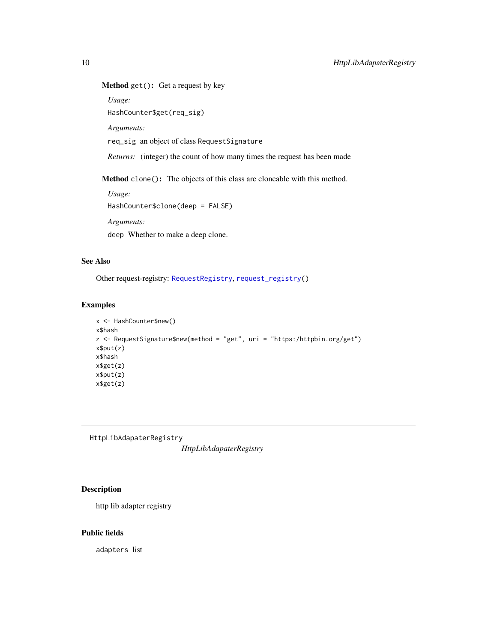### <span id="page-9-0"></span>Method get(): Get a request by key

*Usage:*

HashCounter\$get(req\_sig)

*Arguments:*

req\_sig an object of class RequestSignature

*Returns:* (integer) the count of how many times the request has been made

Method clone(): The objects of this class are cloneable with this method.

*Usage:* HashCounter\$clone(deep = FALSE)

*Arguments:*

deep Whether to make a deep clone.

### See Also

Other request-registry: [RequestRegistry](#page-17-1), [request\\_registry\(](#page-21-1))

#### Examples

```
x <- HashCounter$new()
x$hash
z <- RequestSignature$new(method = "get", uri = "https:/httpbin.org/get")
x$put(z)
x$hash
x$get(z)
x$put(z)
x$get(z)
```
<span id="page-9-1"></span>HttpLibAdapaterRegistry

*HttpLibAdapaterRegistry*

### Description

http lib adapter registry

### Public fields

adapters list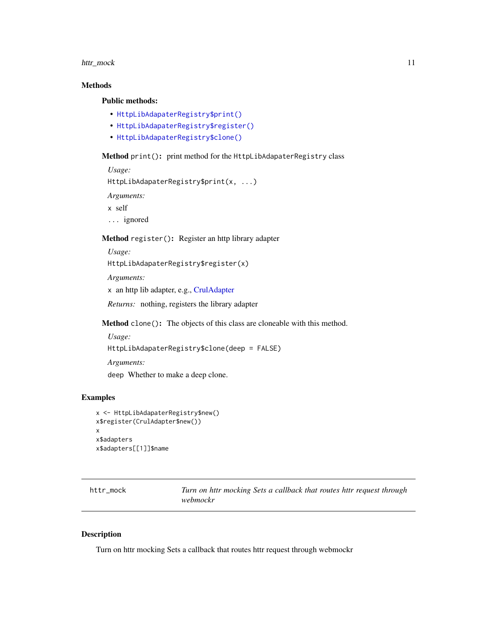### <span id="page-10-0"></span>httr\_mock 11

### Methods

#### Public methods:

- [HttpLibAdapaterRegistry\\$print\(\)](#page-10-1)
- [HttpLibAdapaterRegistry\\$register\(\)](#page-10-2)
- [HttpLibAdapaterRegistry\\$clone\(\)](#page-5-0)

### <span id="page-10-1"></span>Method print(): print method for the HttpLibAdapaterRegistry class

*Usage:*

```
HttpLibAdapaterRegistry$print(x, ...)
```
*Arguments:*

x self

... ignored

### <span id="page-10-2"></span>Method register(): Register an http library adapter

*Usage:*

```
HttpLibAdapaterRegistry$register(x)
```
*Arguments:*

x an http lib adapter, e.g., [CrulAdapter](#page-4-1)

*Returns:* nothing, registers the library adapter

Method clone(): The objects of this class are cloneable with this method.

*Usage:* HttpLibAdapaterRegistry\$clone(deep = FALSE) *Arguments:* deep Whether to make a deep clone.

### Examples

```
x <- HttpLibAdapaterRegistry$new()
x$register(CrulAdapter$new())
x
x$adapters
x$adapters[[1]]$name
```
httr\_mock *Turn on httr mocking Sets a callback that routes httr request through webmockr*

#### Description

Turn on httr mocking Sets a callback that routes httr request through webmockr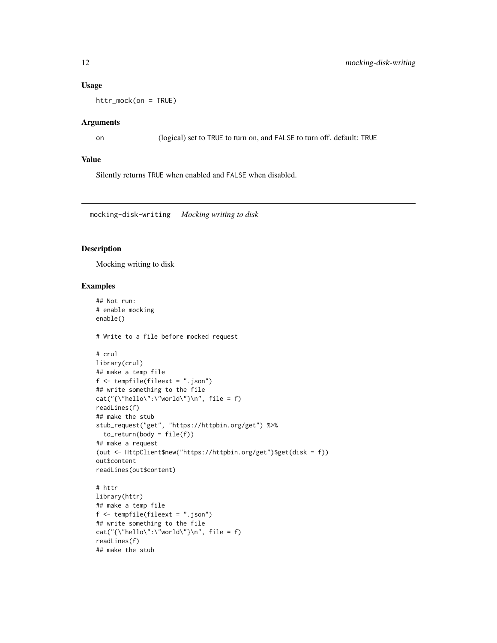### <span id="page-11-0"></span>Usage

httr\_mock(on = TRUE)

#### Arguments

on (logical) set to TRUE to turn on, and FALSE to turn off. default: TRUE

### Value

Silently returns TRUE when enabled and FALSE when disabled.

<span id="page-11-1"></span>mocking-disk-writing *Mocking writing to disk*

#### Description

Mocking writing to disk

### Examples

```
## Not run:
# enable mocking
enable()
# Write to a file before mocked request
# crul
library(crul)
## make a temp file
f <- tempfile(fileext = ".json")
## write something to the file
cat("{\\theta\}':\\text{world}\text{'}\n", file = f)
readLines(f)
## make the stub
stub_request("get", "https://httpbin.org/get") %>%
  to_return(body = file(f))## make a request
(out <- HttpClient$new("https://httpbin.org/get")$get(disk = f))
out$content
readLines(out$content)
# httr
library(httr)
## make a temp file
f <- tempfile(fileext = ".json")
## write something to the file
cat("{\n    'hello\n    ':\n    'world\n    '}\n    '', file = f)readLines(f)
```
## make the stub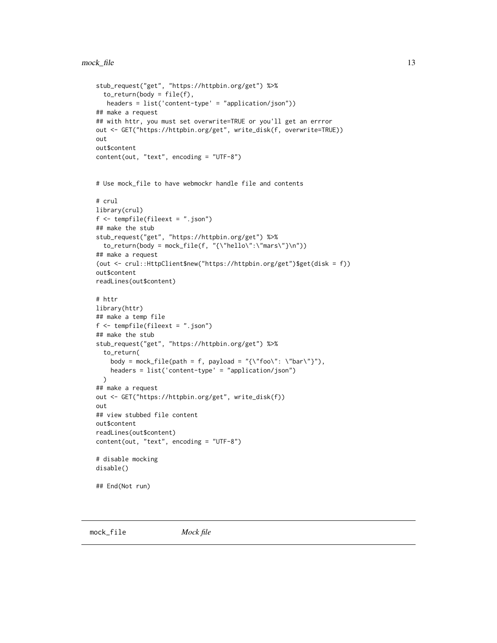```
stub_request("get", "https://httpbin.org/get") %>%
  to_return(body = file(f),headers = list('content-type' = "application/json"))
## make a request
## with httr, you must set overwrite=TRUE or you'll get an errror
out <- GET("https://httpbin.org/get", write_disk(f, overwrite=TRUE))
out
out$content
content(out, "text", encoding = "UTF-8")
# Use mock_file to have webmockr handle file and contents
# crul
library(crul)
f <- tempfile(fileext = ".json")
## make the stub
stub_request("get", "https://httpbin.org/get") %>%
  to_return(body = mock_file(f, "{\"hello\":\"mars\"}\n"))
## make a request
(out <- crul::HttpClient$new("https://httpbin.org/get")$get(disk = f))
out$content
readLines(out$content)
# httr
library(httr)
## make a temp file
f <- tempfile(fileext = ".json")
## make the stub
stub_request("get", "https://httpbin.org/get") %>%
  to_return(
   body = mock_file(path = f, payload = "{\"foo\": \"bar\"}"),
   headers = list('content-type' = "application/json")
  \lambda## make a request
out <- GET("https://httpbin.org/get", write_disk(f))
out
## view stubbed file content
out$content
readLines(out$content)
content(out, "text", encoding = "UTF-8")
# disable mocking
disable()
## End(Not run)
```
<span id="page-12-1"></span>mock\_file *Mock file*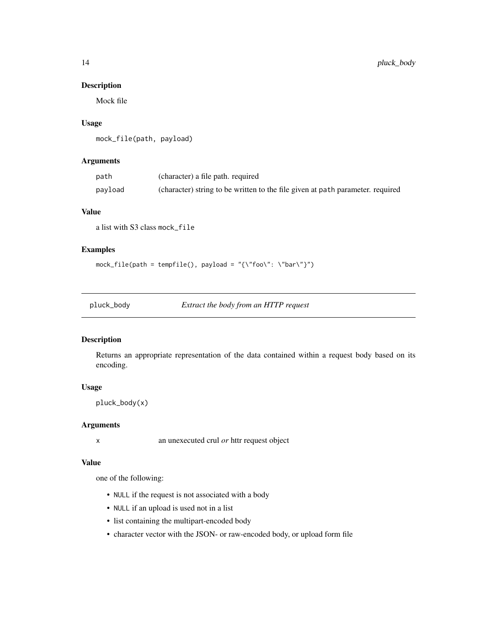### Description

Mock file

### Usage

mock\_file(path, payload)

### Arguments

| path    | (character) a file path. required                                              |
|---------|--------------------------------------------------------------------------------|
| payload | (character) string to be written to the file given at path parameter, required |

### Value

a list with S3 class mock\_file

### Examples

 $mock\_file(path = tempfile(), payload = "{\\}"foo\" : \\\"bar\}'')$ 

pluck\_body *Extract the body from an HTTP request*

### Description

Returns an appropriate representation of the data contained within a request body based on its encoding.

#### Usage

pluck\_body(x)

### Arguments

x an unexecuted crul *or* httr request object

#### Value

one of the following:

- NULL if the request is not associated with a body
- NULL if an upload is used not in a list
- list containing the multipart-encoded body
- character vector with the JSON- or raw-encoded body, or upload form file

<span id="page-13-0"></span>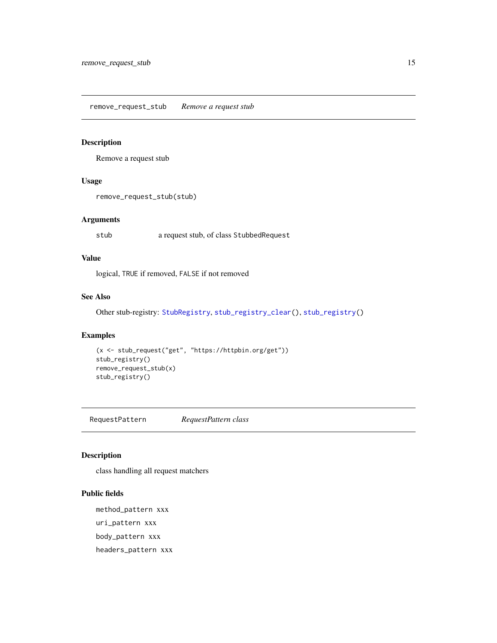<span id="page-14-1"></span><span id="page-14-0"></span>remove\_request\_stub *Remove a request stub*

### Description

Remove a request stub

### Usage

```
remove_request_stub(stub)
```
### Arguments

stub a request stub, of class StubbedRequest

### Value

logical, TRUE if removed, FALSE if not removed

### See Also

Other stub-registry: [StubRegistry](#page-30-1), [stub\\_registry\\_clear\(](#page-33-1)), [stub\\_registry\(](#page-33-2))

### Examples

```
(x <- stub_request("get", "https://httpbin.org/get"))
stub_registry()
remove_request_stub(x)
stub_registry()
```
RequestPattern *RequestPattern class*

### Description

class handling all request matchers

#### Public fields

method\_pattern xxx uri\_pattern xxx body\_pattern xxx headers\_pattern xxx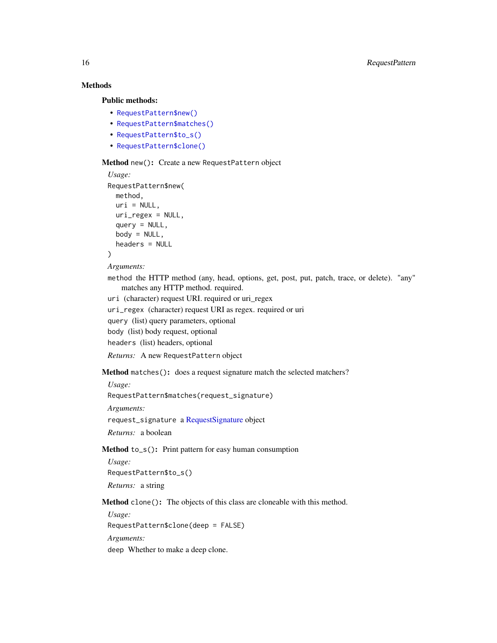### Methods

#### Public methods:

- [RequestPattern\\$new\(\)](#page-5-1)
- [RequestPattern\\$matches\(\)](#page-15-0)
- [RequestPattern\\$to\\_s\(\)](#page-15-1)
- [RequestPattern\\$clone\(\)](#page-5-0)

#### Method new(): Create a new RequestPattern object

```
Usage:
RequestPattern$new(
  method,
  uri = NULL,uri_regex = NULL,
  query = NULL,
  body = NULL,headers = NULL
\mathcal{L}
```

```
Arguments:
```
method the HTTP method (any, head, options, get, post, put, patch, trace, or delete). "any" matches any HTTP method. required.

uri (character) request URI. required or uri\_regex

uri\_regex (character) request URI as regex. required or uri

query (list) query parameters, optional

```
body (list) body request, optional
```
headers (list) headers, optional

*Returns:* A new RequestPattern object

#### <span id="page-15-0"></span>Method matches(): does a request signature match the selected matchers?

*Usage:*

RequestPattern\$matches(request\_signature)

*Arguments:*

request\_signature a [RequestSignature](#page-19-1) object

*Returns:* a boolean

<span id="page-15-1"></span>Method to\_s(): Print pattern for easy human consumption

*Usage:* RequestPattern\$to\_s() *Returns:* a string

Method clone(): The objects of this class are cloneable with this method.

*Usage:* RequestPattern\$clone(deep = FALSE) *Arguments:* deep Whether to make a deep clone.

<span id="page-15-2"></span>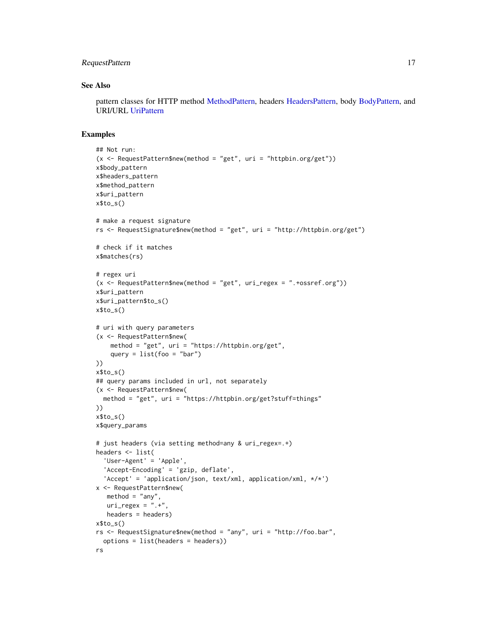### <span id="page-16-0"></span>RequestPattern 17

#### See Also

pattern classes for HTTP method [MethodPattern,](#page-0-0) headers [HeadersPattern,](#page-0-0) body [BodyPattern,](#page-0-0) and URI/URL [UriPattern](#page-0-0)

#### Examples

```
## Not run:
(x \leq - RequestPattern$new(method = "get", uri = "httpbin.org/get"))
x$body_pattern
x$headers_pattern
x$method_pattern
x$uri_pattern
x$to_s()
# make a request signature
rs <- RequestSignature$new(method = "get", uri = "http://httpbin.org/get")
# check if it matches
x$matches(rs)
# regex uri
(x <- RequestPattern$new(method = "get", uri_regex = ".+ossref.org"))
x$uri_pattern
x$uri_pattern$to_s()
x$to_s()
# uri with query parameters
(x <- RequestPattern$new(
    method = "get", uri = "https://httpbin.org/get",
    query = list(foo = "bar")))
x$to_s()
## query params included in url, not separately
(x <- RequestPattern$new(
  method = "get", uri = "https://httpbin.org/get?stuff=things"
))
x$to_s()
x$query_params
# just headers (via setting method=any & uri_regex=.+)
headers <- list(
  'User-Agent' = 'Apple',
  'Accept-Encoding' = 'gzip, deflate',
  'Accept' = 'application/json, text/xml, application/xml, */*')
x <- RequestPattern$new(
  method = "any",uri\_regex = ".+"headers = headers)
x$to_s()
rs <- RequestSignature$new(method = "any", uri = "http://foo.bar",
  options = list(headers = headers))
rs
```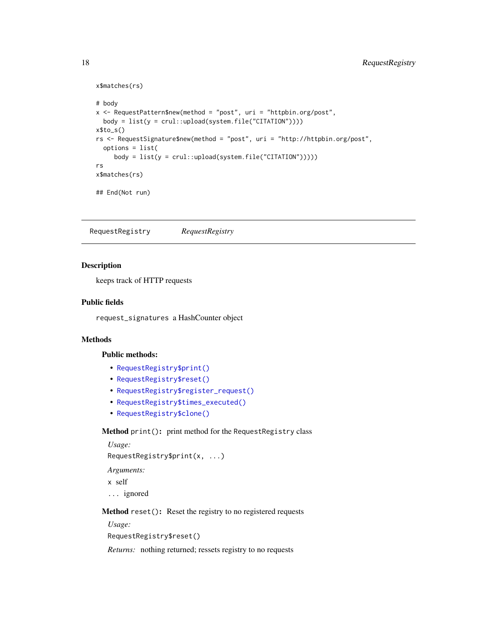```
x$matches(rs)
```

```
# body
x <- RequestPattern$new(method = "post", uri = "httpbin.org/post",
 body = list(y = crul::upload(system.file("CITATION"))))
x$to_s()
rs <- RequestSignature$new(method = "post", uri = "http://httpbin.org/post",
  options = list(
     body = list(y = crul::update(system.file("CITATION"))))rs
x$matches(rs)
## End(Not run)
```
<span id="page-17-1"></span>RequestRegistry *RequestRegistry*

#### Description

keeps track of HTTP requests

#### Public fields

request\_signatures a HashCounter object

### Methods

#### Public methods:

- [RequestRegistry\\$print\(\)](#page-10-1)
- [RequestRegistry\\$reset\(\)](#page-17-2)
- [RequestRegistry\\$register\\_request\(\)](#page-17-3)
- [RequestRegistry\\$times\\_executed\(\)](#page-18-0)
- [RequestRegistry\\$clone\(\)](#page-5-0)

#### Method print(): print method for the RequestRegistry class

```
Usage:
RequestRegistry$print(x, ...)
Arguments:
x self
... ignored
```
<span id="page-17-2"></span>Method reset(): Reset the registry to no registered requests

*Usage:* RequestRegistry\$reset()

<span id="page-17-3"></span>*Returns:* nothing returned; ressets registry to no requests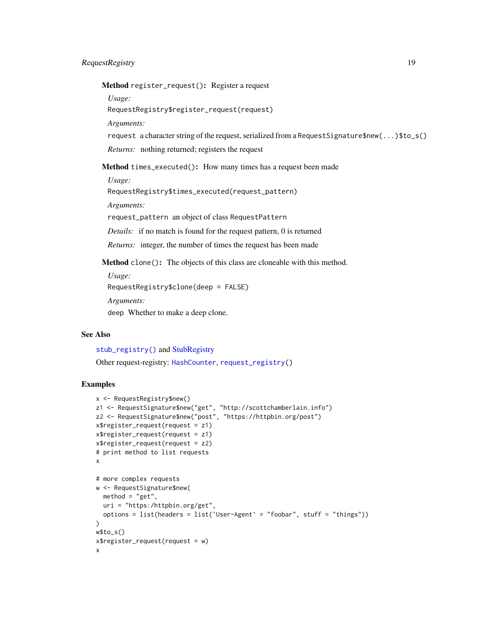### <span id="page-18-1"></span>RequestRegistry 19

Method register\_request(): Register a request

*Usage:*

RequestRegistry\$register\_request(request)

*Arguments:*

request a character string of the request, serialized from a RequestSignature\$new(...)\$to\_s()

*Returns:* nothing returned; registers the request

<span id="page-18-0"></span>Method times\_executed(): How many times has a request been made

*Usage:*

RequestRegistry\$times\_executed(request\_pattern)

*Arguments:*

request\_pattern an object of class RequestPattern

*Details:* if no match is found for the request pattern, 0 is returned

*Returns:* integer, the number of times the request has been made

Method clone(): The objects of this class are cloneable with this method.

*Usage:*

RequestRegistry\$clone(deep = FALSE)

*Arguments:*

deep Whether to make a deep clone.

### See Also

[stub\\_registry\(\)](#page-33-2) and [StubRegistry](#page-30-1)

Other request-registry: [HashCounter](#page-8-3), [request\\_registry\(](#page-21-1))

### Examples

```
x <- RequestRegistry$new()
z1 <- RequestSignature$new("get", "http://scottchamberlain.info")
z2 <- RequestSignature$new("post", "https://httpbin.org/post")
x$register_request(request = z1)
x$register_request(request = z1)
x$register_request(request = z2)
# print method to list requests
x
# more complex requests
w <- RequestSignature$new(
  method = "get",uri = "https:/httpbin.org/get",
  options = list(headers = list(`User-Agent` = "foobar", stuff = "things"))
\lambdaw$to_s()
x$register_request(request = w)
x
```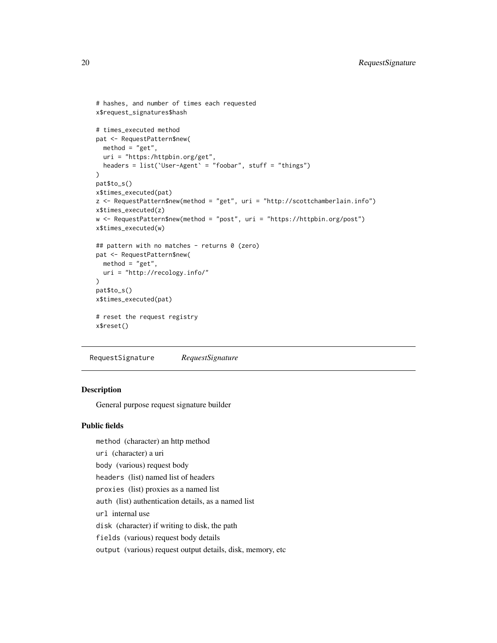```
# hashes, and number of times each requested
x$request_signatures$hash
# times_executed method
pat <- RequestPattern$new(
 method = "get",uri = "https:/httpbin.org/get",
 headers = list(`User-Agent` = "foobar", stuff = "things")
\mathcal{L}pat$to_s()
x$times_executed(pat)
z <- RequestPattern$new(method = "get", uri = "http://scottchamberlain.info")
x$times_executed(z)
w <- RequestPattern$new(method = "post", uri = "https://httpbin.org/post")
x$times_executed(w)
## pattern with no matches - returns 0 (zero)
pat <- RequestPattern$new(
 method = "get",uri = "http://recology.info/"
\lambdapat$to_s()
x$times_executed(pat)
# reset the request registry
x$reset()
```
<span id="page-19-1"></span>RequestSignature *RequestSignature*

#### **Description**

General purpose request signature builder

#### Public fields

method (character) an http method uri (character) a uri body (various) request body headers (list) named list of headers proxies (list) proxies as a named list auth (list) authentication details, as a named list url internal use disk (character) if writing to disk, the path fields (various) request body details output (various) request output details, disk, memory, etc

<span id="page-19-0"></span>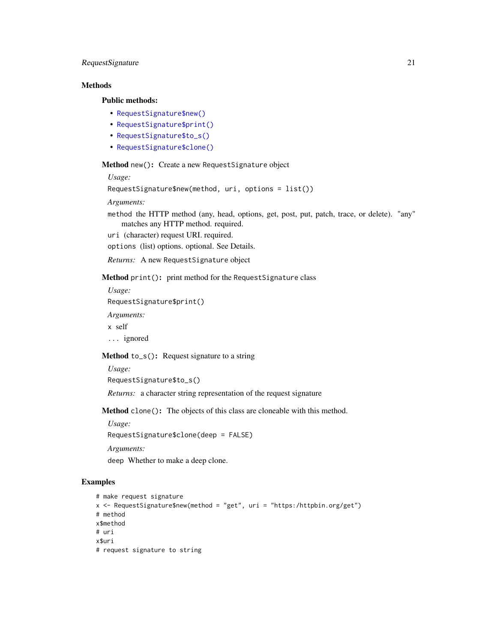### RequestSignature 21

### Methods

#### Public methods:

- [RequestSignature\\$new\(\)](#page-5-1)
- [RequestSignature\\$print\(\)](#page-10-1)
- [RequestSignature\\$to\\_s\(\)](#page-15-1)
- [RequestSignature\\$clone\(\)](#page-5-0)

Method new(): Create a new RequestSignature object

#### *Usage:*

```
RequestSignature$new(method, uri, options = list())
```
#### *Arguments:*

method the HTTP method (any, head, options, get, post, put, patch, trace, or delete). "any" matches any HTTP method. required.

uri (character) request URI. required.

options (list) options. optional. See Details.

*Returns:* A new RequestSignature object

Method print(): print method for the RequestSignature class

*Usage:*

RequestSignature\$print()

*Arguments:*

x self

... ignored

#### Method to\_s(): Request signature to a string

*Usage:*

```
RequestSignature$to_s()
```
*Returns:* a character string representation of the request signature

Method clone(): The objects of this class are cloneable with this method.

*Usage:*

RequestSignature\$clone(deep = FALSE)

*Arguments:*

deep Whether to make a deep clone.

### Examples

```
# make request signature
x <- RequestSignature$new(method = "get", uri = "https:/httpbin.org/get")
# method
x$method
# uri
x$uri
# request signature to string
```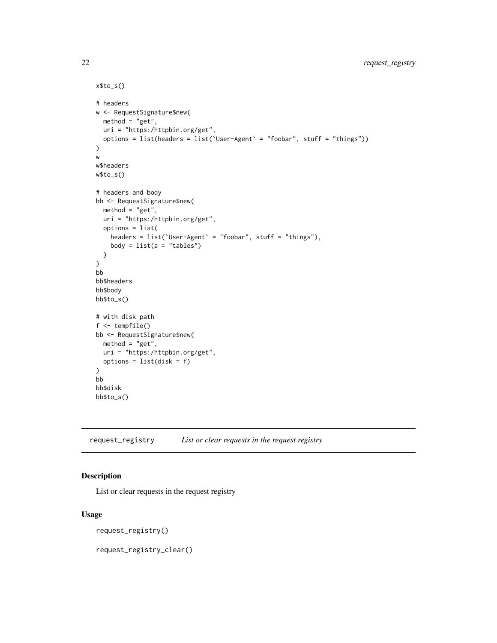```
x$to_s()
# headers
w <- RequestSignature$new(
 method = "get",uri = "https:/httpbin.org/get",
  options = list(headers = list(`User-Agent` = "foobar", stuff = "things"))
\mathcal{L}w
w$headers
w$to_s()
# headers and body
bb <- RequestSignature$new(
 method = "get",
 uri = "https:/httpbin.org/get",
 options = list(
    headers = list(`User-Agent` = "foobar", stuff = "things"),
    body = list(a = "tables"))
)
bb
bb$headers
bb$body
bb$to_s()
# with disk path
f <- tempfile()
bb <- RequestSignature$new(
 method = "get",uri = "https:/httpbin.org/get",
 options = list(disk = f)\mathcal{L}bb
bb$disk
bb$to_s()
```

```
request_registry List or clear requests in the request registry
```
#### <span id="page-21-2"></span>Description

List or clear requests in the request registry

### Usage

```
request_registry()
```
request\_registry\_clear()

<span id="page-21-0"></span>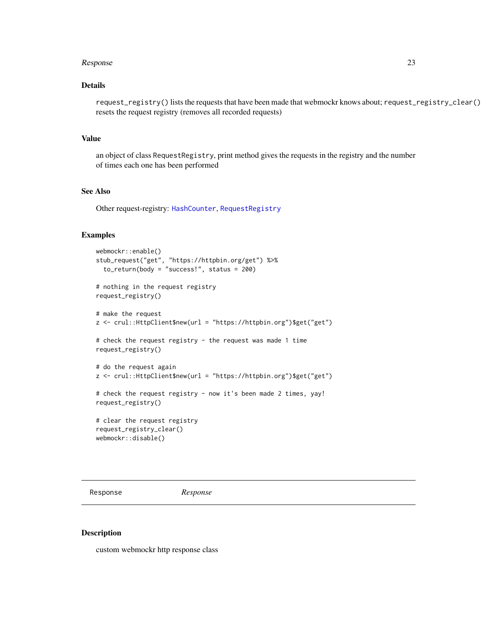### <span id="page-22-0"></span>Details

request\_registry() lists the requests that have been made that webmockr knows about; request\_registry\_clear() resets the request registry (removes all recorded requests)

### Value

an object of class RequestRegistry, print method gives the requests in the registry and the number of times each one has been performed

### See Also

Other request-registry: [HashCounter](#page-8-3), [RequestRegistry](#page-17-1)

#### Examples

```
webmockr::enable()
stub_request("get", "https://httpbin.org/get") %>%
  to_return(body = "success!", status = 200)
# nothing in the request registry
request_registry()
# make the request
z <- crul::HttpClient$new(url = "https://httpbin.org")$get("get")
# check the request registry - the request was made 1 time
request_registry()
# do the request again
z <- crul::HttpClient$new(url = "https://httpbin.org")$get("get")
# check the request registry - now it's been made 2 times, yay!
request_registry()
# clear the request registry
request_registry_clear()
webmockr::disable()
```
Response *Response*

#### Description

custom webmockr http response class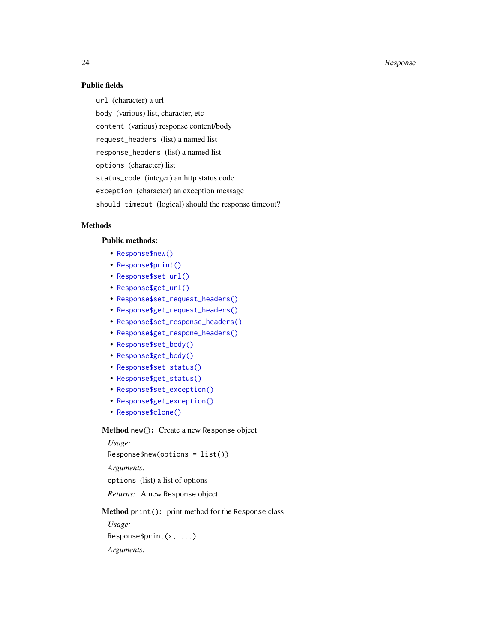### Public fields

url (character) a url body (various) list, character, etc content (various) response content/body request\_headers (list) a named list response\_headers (list) a named list options (character) list status\_code (integer) an http status code exception (character) an exception message should\_timeout (logical) should the response timeout?

### **Methods**

### Public methods:

- [Response\\$new\(\)](#page-5-1)
- [Response\\$print\(\)](#page-10-1)
- [Response\\$set\\_url\(\)](#page-24-0)
- [Response\\$get\\_url\(\)](#page-24-1)
- [Response\\$set\\_request\\_headers\(\)](#page-24-2)
- [Response\\$get\\_request\\_headers\(\)](#page-24-3)
- [Response\\$set\\_response\\_headers\(\)](#page-24-4)
- [Response\\$get\\_respone\\_headers\(\)](#page-24-5)
- [Response\\$set\\_body\(\)](#page-24-6)
- [Response\\$get\\_body\(\)](#page-25-0)
- [Response\\$set\\_status\(\)](#page-25-1)
- [Response\\$get\\_status\(\)](#page-25-2)
- [Response\\$set\\_exception\(\)](#page-25-3)
- [Response\\$get\\_exception\(\)](#page-25-4)
- [Response\\$clone\(\)](#page-5-0)

#### Method new(): Create a new Response object

*Usage:* Response\$new(options = list()) *Arguments:* options (list) a list of options *Returns:* A new Response object

Method print(): print method for the Response class

*Usage:* Response\$print(x, ...) *Arguments:*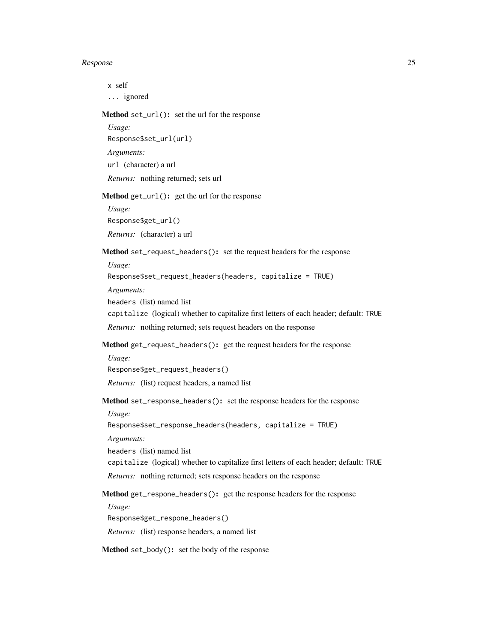x self ... ignored

<span id="page-24-0"></span>Method set\_url(): set the url for the response

```
Usage:
Response$set_url(url)
Arguments:
url (character) a url
Returns: nothing returned; sets url
```
<span id="page-24-1"></span>Method get\_url(): get the url for the response

*Usage:* Response\$get\_url() *Returns:* (character) a url

<span id="page-24-2"></span>Method set\_request\_headers(): set the request headers for the response

*Usage:*

Response\$set\_request\_headers(headers, capitalize = TRUE)

*Arguments:*

headers (list) named list

capitalize (logical) whether to capitalize first letters of each header; default: TRUE

*Returns:* nothing returned; sets request headers on the response

<span id="page-24-3"></span>Method get\_request\_headers(): get the request headers for the response

*Usage:*

Response\$get\_request\_headers()

*Returns:* (list) request headers, a named list

<span id="page-24-4"></span>Method set\_response\_headers(): set the response headers for the response

Response\$set\_response\_headers(headers, capitalize = TRUE)

*Arguments:*

*Usage:*

headers (list) named list

capitalize (logical) whether to capitalize first letters of each header; default: TRUE

*Returns:* nothing returned; sets response headers on the response

<span id="page-24-5"></span>Method get\_respone\_headers(): get the response headers for the response

*Usage:* Response\$get\_respone\_headers()

*Returns:* (list) response headers, a named list

<span id="page-24-6"></span>Method set\_body(): set the body of the response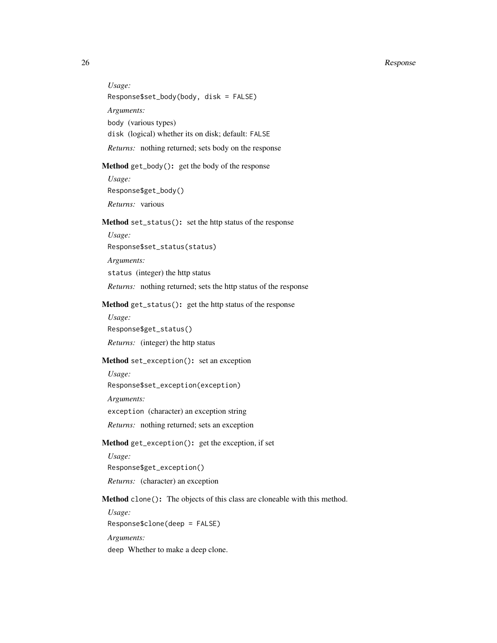*Usage:* Response\$set\_body(body, disk = FALSE) *Arguments:* body (various types) disk (logical) whether its on disk; default: FALSE *Returns:* nothing returned; sets body on the response

#### <span id="page-25-0"></span>Method get\_body(): get the body of the response

*Usage:* Response\$get\_body() *Returns:* various

#### <span id="page-25-1"></span>Method set\_status(): set the http status of the response

*Usage:* Response\$set\_status(status) *Arguments:* status (integer) the http status *Returns:* nothing returned; sets the http status of the response

#### <span id="page-25-2"></span>Method get\_status(): get the http status of the response

*Usage:* Response\$get\_status() *Returns:* (integer) the http status

### <span id="page-25-3"></span>Method set\_exception(): set an exception

*Usage:* Response\$set\_exception(exception) *Arguments:* exception (character) an exception string

*Returns:* nothing returned; sets an exception

### <span id="page-25-4"></span>Method get\_exception(): get the exception, if set

*Usage:* Response\$get\_exception() *Returns:* (character) an exception

Method clone(): The objects of this class are cloneable with this method.

*Usage:* Response\$clone(deep = FALSE) *Arguments:* deep Whether to make a deep clone.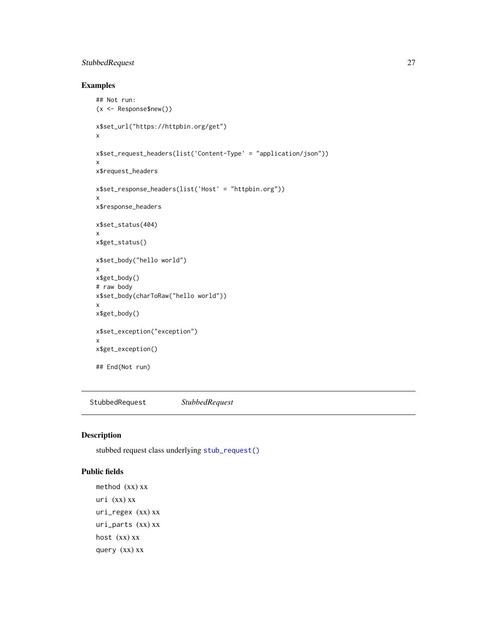### <span id="page-26-0"></span>StubbedRequest 27

### Examples

```
## Not run:
(x <- Response$new())
x$set_url("https://httpbin.org/get")
x
x$set_request_headers(list('Content-Type' = "application/json"))
x
x$request_headers
x$set_response_headers(list('Host' = "httpbin.org"))
x
x$response_headers
x$set_status(404)
x
x$get_status()
x$set_body("hello world")
x
x$get_body()
# raw body
x$set_body(charToRaw("hello world"))
x
x$get_body()
x$set_exception("exception")
x
x$get_exception()
## End(Not run)
```
<span id="page-26-1"></span>StubbedRequest *StubbedRequest*

### Description

stubbed request class underlying [stub\\_request\(\)](#page-34-1)

### Public fields

method (xx) xx uri (xx) xx uri\_regex (xx) xx uri\_parts (xx) xx host (xx) xx query (xx) xx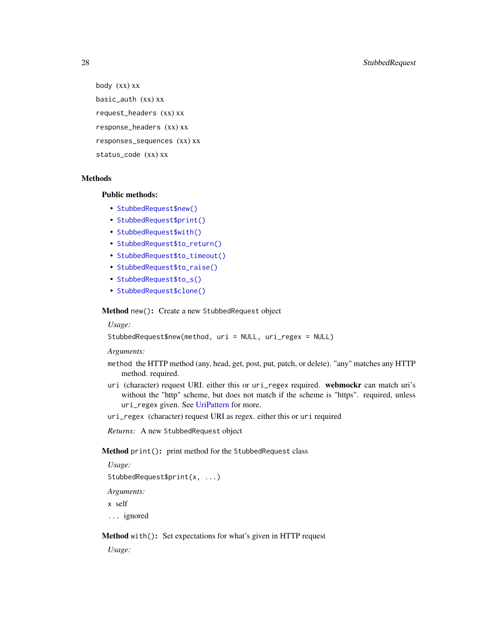body (xx) xx basic\_auth (xx) xx request\_headers (xx) xx response\_headers (xx) xx responses\_sequences (xx) xx status\_code (xx) xx

### Methods

#### Public methods:

- [StubbedRequest\\$new\(\)](#page-5-1)
- [StubbedRequest\\$print\(\)](#page-10-1)
- [StubbedRequest\\$with\(\)](#page-27-0)
- [StubbedRequest\\$to\\_return\(\)](#page-28-0)
- [StubbedRequest\\$to\\_timeout\(\)](#page-28-1)
- [StubbedRequest\\$to\\_raise\(\)](#page-28-2)
- [StubbedRequest\\$to\\_s\(\)](#page-15-1)
- [StubbedRequest\\$clone\(\)](#page-5-0)

Method new(): Create a new StubbedRequest object

#### *Usage:*

StubbedRequest\$new(method, uri = NULL, uri\_regex = NULL)

*Arguments:*

- method the HTTP method (any, head, get, post, put, patch, or delete). "any" matches any HTTP method. required.
- uri (character) request URI. either this or uri\_regex required. webmockr can match uri's without the "http" scheme, but does not match if the scheme is "https". required, unless uri\_regex given. See [UriPattern](#page-0-0) for more.
- uri\_regex (character) request URI as regex. either this or uri required

*Returns:* A new StubbedRequest object

### Method print(): print method for the StubbedRequest class

*Usage:*

```
StubbedRequest$print(x, ...)
```
*Arguments:*

x self

... ignored

<span id="page-27-0"></span>Method with(): Set expectations for what's given in HTTP request

*Usage:*

<span id="page-27-1"></span>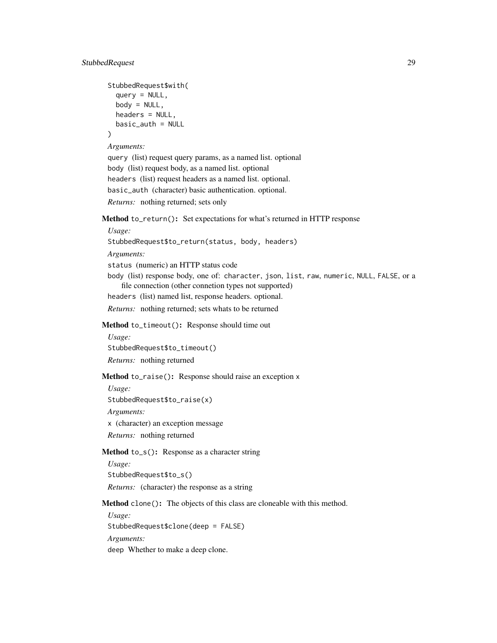```
StubbedRequest$with(
  query = NULL,
 body = NULL,headers = NULL,
 basic_auth = NULL
)
```
*Arguments:*

```
query (list) request query params, as a named list. optional
body (list) request body, as a named list. optional
headers (list) request headers as a named list. optional.
basic_auth (character) basic authentication. optional.
Returns: nothing returned; sets only
```
<span id="page-28-0"></span>Method to\_return(): Set expectations for what's returned in HTTP response

```
Usage:
StubbedRequest$to_return(status, body, headers)
Arguments:
status (numeric) an HTTP status code
body (list) response body, one of: character, json, list, raw, numeric, NULL, FALSE, or a
    file connection (other connetion types not supported)
headers (list) named list, response headers. optional.
Returns: nothing returned; sets whats to be returned
```
<span id="page-28-1"></span>Method to\_timeout(): Response should time out

*Usage:* StubbedRequest\$to\_timeout() *Returns:* nothing returned

<span id="page-28-2"></span>Method to\_raise(): Response should raise an exception x

*Usage:* StubbedRequest\$to\_raise(x)

*Arguments:*

x (character) an exception message

*Returns:* nothing returned

### Method to\_s(): Response as a character string

*Usage:*

StubbedRequest\$to\_s()

*Returns:* (character) the response as a string

Method clone(): The objects of this class are cloneable with this method.

*Usage:* StubbedRequest\$clone(deep = FALSE) *Arguments:* deep Whether to make a deep clone.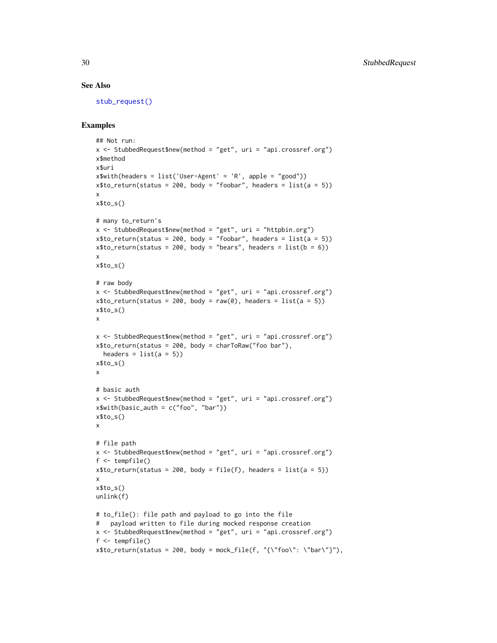#### See Also

[stub\\_request\(\)](#page-34-1)

### Examples

```
## Not run:
x \le - StubbedRequest$new(method = "get", uri = "api.crossref.org")
x$method
x$uri
x$with(headers = list('User-Agent' = 'R', apple = "good"))
x$to_return(status = 200, body = "foobar", headers = list(a = 5))
x
x$to_s()
# many to_return's
x <- StubbedRequest$new(method = "get", uri = "httpbin.org")
x$to_return(status = 200, body = "foobar", headers = list(a = 5))
x$to_return(status = 200, body = "bears", headers = list(b = 6))
x
x$to_s()
# raw body
x \le - StubbedRequest$new(method = "get", uri = "api.crossref.org")
x$to_return(status = 200, body = raw(0), headers = list(a = 5))
x$to_s()
x
x \le - StubbedRequest$new(method = "get", uri = "api.crossref.org")
x$to_return(status = 200, body = charToRaw("foo bar"),
  headers = list(a = 5))
x$to_s()
x
# basic auth
x \le StubbedRequest$new(method = "get", uri = "api.crossref.org")
x$with(basic_auth = c("foo", "bar"))
x$to_s()
x
# file path
x \le StubbedRequest$new(method = "get", uri = "api.crossref.org")
f <- tempfile()
x$to_return(status = 200, body = file(f), headers = list(a = 5))
x
x$to_s()
unlink(f)
# to_file(): file path and payload to go into the file
# payload written to file during mocked response creation
x \le - StubbedRequest$new(method = "get", uri = "api.crossref.org")
f <- tempfile()
x$to_return(status = 200, body = mock_file(f, "{\"foo\": \"bar\"}"),
```
<span id="page-29-0"></span>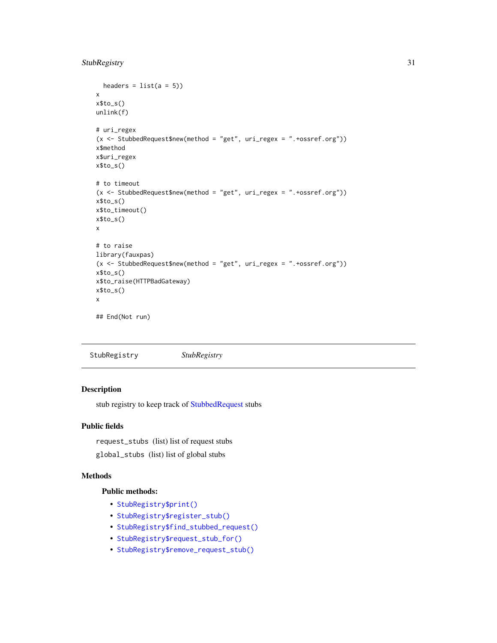### <span id="page-30-0"></span>StubRegistry 31

```
headers = list(a = 5))x
x$to_s()
unlink(f)
# uri_regex
(x <- StubbedRequest$new(method = "get", uri_regex = ".+ossref.org"))
x$method
x$uri_regex
x$to_s()
# to timeout
(x <- StubbedRequest$new(method = "get", uri_regex = ".+ossref.org"))
x$to_s()
x$to_timeout()
x$to_s()
x
# to raise
library(fauxpas)
(x <- StubbedRequest$new(method = "get", uri_regex = ".+ossref.org"))
x$to_s()
x$to_raise(HTTPBadGateway)
x$to_s()
x
## End(Not run)
```
<span id="page-30-1"></span>StubRegistry *StubRegistry*

### Description

stub registry to keep track of [StubbedRequest](#page-26-1) stubs

### Public fields

request\_stubs (list) list of request stubs

global\_stubs (list) list of global stubs

### Methods

### Public methods:

- [StubRegistry\\$print\(\)](#page-10-1)
- [StubRegistry\\$register\\_stub\(\)](#page-31-0)
- [StubRegistry\\$find\\_stubbed\\_request\(\)](#page-31-1)
- [StubRegistry\\$request\\_stub\\_for\(\)](#page-31-2)
- [StubRegistry\\$remove\\_request\\_stub\(\)](#page-31-3)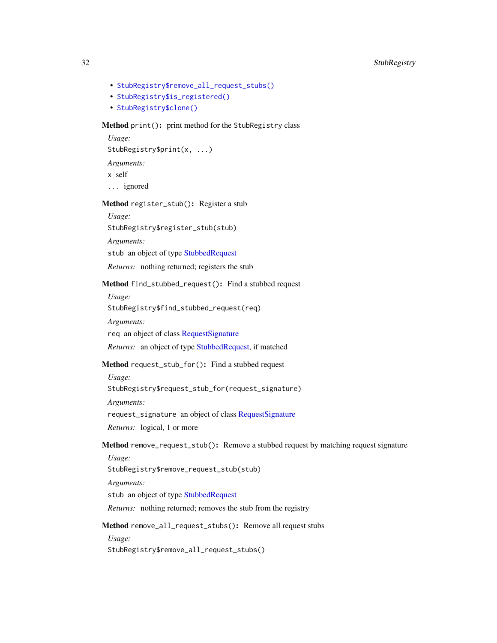- <span id="page-31-5"></span>• [StubRegistry\\$remove\\_all\\_request\\_stubs\(\)](#page-31-4)
- [StubRegistry\\$is\\_registered\(\)](#page-32-0)
- [StubRegistry\\$clone\(\)](#page-5-0)

### Method print(): print method for the StubRegistry class

```
Usage:
StubRegistry$print(x, ...)
Arguments:
x self
... ignored
```
### <span id="page-31-0"></span>Method register\_stub(): Register a stub

*Usage:*

StubRegistry\$register\_stub(stub)

*Arguments:*

stub an object of type [StubbedRequest](#page-26-1)

*Returns:* nothing returned; registers the stub

#### <span id="page-31-1"></span>Method find\_stubbed\_request(): Find a stubbed request

*Usage:*

StubRegistry\$find\_stubbed\_request(req)

*Arguments:*

req an object of class [RequestSignature](#page-19-1)

*Returns:* an object of type [StubbedRequest,](#page-26-1) if matched

#### <span id="page-31-2"></span>Method request\_stub\_for(): Find a stubbed request

*Usage:*

StubRegistry\$request\_stub\_for(request\_signature)

*Arguments:*

request\_signature an object of class [RequestSignature](#page-19-1)

*Returns:* logical, 1 or more

<span id="page-31-3"></span>Method remove\_request\_stub(): Remove a stubbed request by matching request signature

*Usage:*

```
StubRegistry$remove_request_stub(stub)
```
*Arguments:*

stub an object of type [StubbedRequest](#page-26-1)

*Returns:* nothing returned; removes the stub from the registry

<span id="page-31-4"></span>Method remove\_all\_request\_stubs(): Remove all request stubs

*Usage:*

StubRegistry\$remove\_all\_request\_stubs()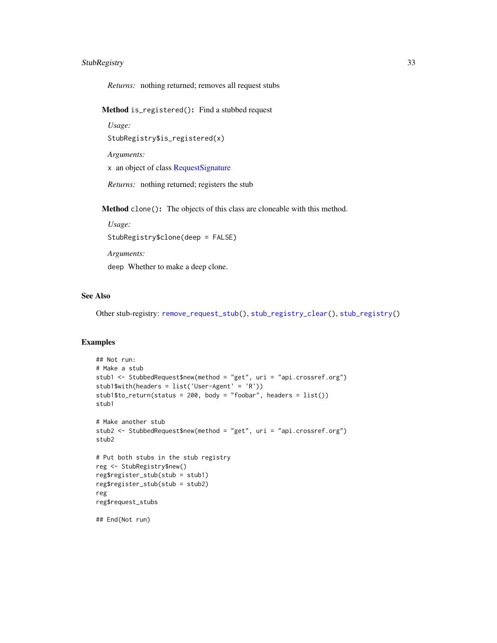### <span id="page-32-1"></span>StubRegistry 33

*Returns:* nothing returned; removes all request stubs

<span id="page-32-0"></span>Method is\_registered(): Find a stubbed request

*Usage:*

StubRegistry\$is\_registered(x)

*Arguments:*

x an object of class [RequestSignature](#page-19-1)

*Returns:* nothing returned; registers the stub

Method clone(): The objects of this class are cloneable with this method.

*Usage:*

StubRegistry\$clone(deep = FALSE)

*Arguments:*

deep Whether to make a deep clone.

### See Also

Other stub-registry: [remove\\_request\\_stub\(](#page-14-1)), [stub\\_registry\\_clear\(](#page-33-1)), [stub\\_registry\(](#page-33-2))

#### Examples

```
## Not run:
# Make a stub
stub1 <- StubbedRequest$new(method = "get", uri = "api.crossref.org")
stub1$with(headers = list('User-Agent' = 'R'))
stub1$to_return(status = 200, body = "foobar", headers = list())
stub1
# Make another stub
stub2 <- StubbedRequest$new(method = "get", uri = "api.crossref.org")
stub2
# Put both stubs in the stub registry
reg <- StubRegistry$new()
reg$register_stub(stub = stub1)
reg$register_stub(stub = stub2)
reg
reg$request_stubs
## End(Not run)
```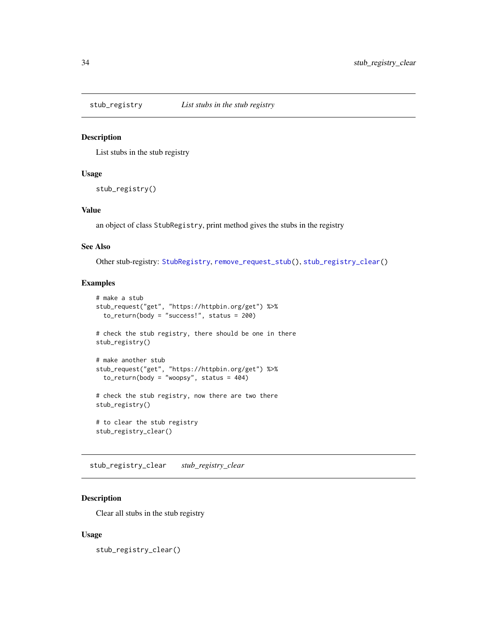<span id="page-33-2"></span><span id="page-33-0"></span>

#### Description

List stubs in the stub registry

### Usage

stub\_registry()

### Value

an object of class StubRegistry, print method gives the stubs in the registry

### See Also

Other stub-registry: [StubRegistry](#page-30-1), [remove\\_request\\_stub\(](#page-14-1)), [stub\\_registry\\_clear\(](#page-33-1))

### Examples

```
# make a stub
stub_request("get", "https://httpbin.org/get") %>%
  to_return(body = "success!", status = 200)
# check the stub registry, there should be one in there
stub_registry()
# make another stub
stub_request("get", "https://httpbin.org/get") %>%
  to_return(body = "woopy", status = 404)# check the stub registry, now there are two there
stub_registry()
# to clear the stub registry
stub_registry_clear()
```
<span id="page-33-1"></span>stub\_registry\_clear *stub\_registry\_clear*

### Description

Clear all stubs in the stub registry

#### Usage

stub\_registry\_clear()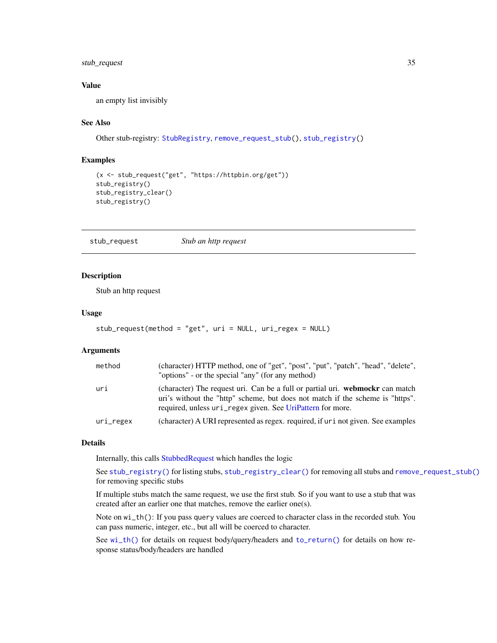### <span id="page-34-0"></span>stub\_request 35

### Value

an empty list invisibly

#### See Also

```
Other stub-registry: StubRegistry, remove_request_stub(), stub_registry()
```
### Examples

```
(x <- stub_request("get", "https://httpbin.org/get"))
stub_registry()
stub_registry_clear()
stub_registry()
```
<span id="page-34-1"></span>stub\_request *Stub an http request*

#### Description

Stub an http request

#### Usage

```
stub_request(method = "get", uri = NULL, uri_regex = NULL)
```
#### Arguments

| method    | (character) HTTP method, one of "get", "post", "put", "patch", "head", "delete",<br>"options" - or the special "any" (for any method)                                                                                         |
|-----------|-------------------------------------------------------------------------------------------------------------------------------------------------------------------------------------------------------------------------------|
| uri       | (character) The request uri. Can be a full or partial uri. webmocken can match<br>uri's without the "http" scheme, but does not match if the scheme is "https".<br>required, unless uri_regex given. See UriPattern for more. |
| uri_regex | (character) A URI represented as regex, required, if ur i not given. See examples                                                                                                                                             |

#### Details

Internally, this calls [StubbedRequest](#page-26-1) which handles the logic

See [stub\\_registry\(\)](#page-33-2) for listing stubs, [stub\\_registry\\_clear\(\)](#page-33-1) for removing all stubs and [remove\\_request\\_stub\(\)](#page-14-1) for removing specific stubs

If multiple stubs match the same request, we use the first stub. So if you want to use a stub that was created after an earlier one that matches, remove the earlier one(s).

Note on wi\_th(): If you pass query values are coerced to character class in the recorded stub. You can pass numeric, integer, etc., but all will be coerced to character.

See [wi\\_th\(\)](#page-43-1) for details on request body/query/headers and [to\\_return\(\)](#page-38-1) for details on how response status/body/headers are handled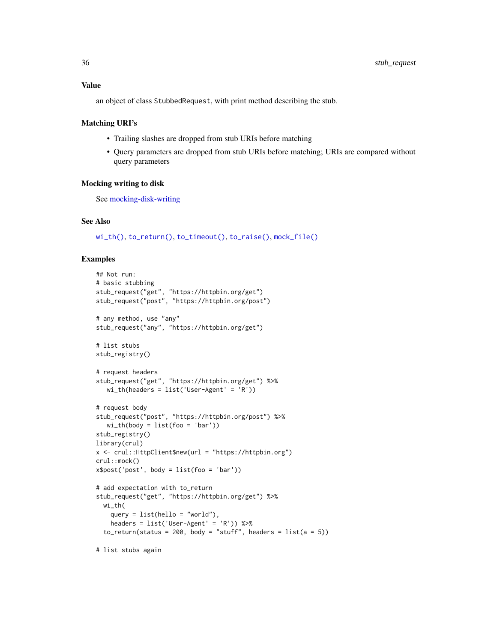### <span id="page-35-0"></span>Value

an object of class StubbedRequest, with print method describing the stub.

#### Matching URI's

- Trailing slashes are dropped from stub URIs before matching
- Query parameters are dropped from stub URIs before matching; URIs are compared without query parameters

#### Mocking writing to disk

See [mocking-disk-writing](#page-11-1)

#### See Also

[wi\\_th\(\)](#page-43-1), [to\\_return\(\)](#page-38-1), [to\\_timeout\(\)](#page-40-1), [to\\_raise\(\)](#page-37-1), [mock\\_file\(\)](#page-12-1)

#### Examples

```
## Not run:
# basic stubbing
stub_request("get", "https://httpbin.org/get")
stub_request("post", "https://httpbin.org/post")
# any method, use "any"
stub_request("any", "https://httpbin.org/get")
# list stubs
stub_registry()
# request headers
stub_request("get", "https://httpbin.org/get") %>%
   wi_th(headers = list('User-Agent' = 'R'))
# request body
stub_request("post", "https://httpbin.org/post") %>%
   wi_th(body = list(foo = 'bar'))stub_registry()
library(crul)
x <- crul::HttpClient$new(url = "https://httpbin.org")
crul::mock()
x$post('post', body = list(foo = 'bar'))
# add expectation with to_return
stub_request("get", "https://httpbin.org/get") %>%
  wi_th(
    query = list(hello = "world"),
    headers = list('User-Agent' = 'R')) %>%
  to_return(status = 200, body = "stuff", headers = list(a = 5))
```
# list stubs again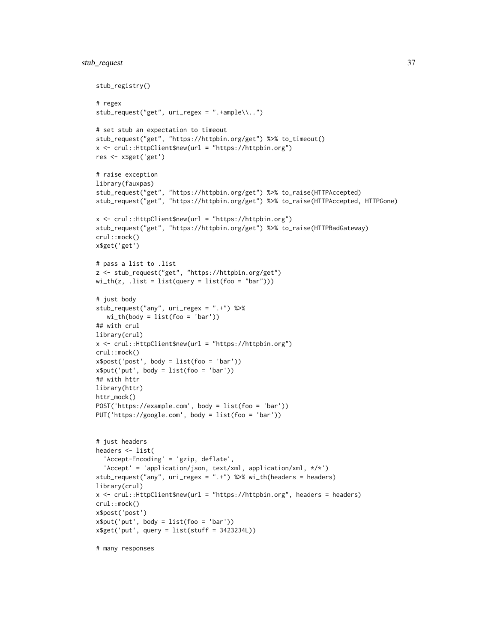```
stub_registry()
# regex
stub_request("get", uri_regex = ".+ample\\..")
# set stub an expectation to timeout
stub_request("get", "https://httpbin.org/get") %>% to_timeout()
x <- crul::HttpClient$new(url = "https://httpbin.org")
res <- x$get('get')
# raise exception
library(fauxpas)
stub_request("get", "https://httpbin.org/get") %>% to_raise(HTTPAccepted)
stub_request("get", "https://httpbin.org/get") %>% to_raise(HTTPAccepted, HTTPGone)
x <- crul::HttpClient$new(url = "https://httpbin.org")
stub_request("get", "https://httpbin.org/get") %>% to_raise(HTTPBadGateway)
crul::mock()
x$get('get')
# pass a list to .list
z <- stub_request("get", "https://httpbin.org/get")
wi_th(z, .list = list(query = list(foo = "bar")))# just body
stub_request("any", uri_regex = ".+") %>%
   wi_th(body = list(foo = 'bar'))## with crul
library(crul)
x <- crul::HttpClient$new(url = "https://httpbin.org")
crul::mock()
x$post('post', body = list(foo = 'bar'))
x$put('put', body = list(foo = 'bar'))## with httr
library(httr)
httr_mock()
POST('https://example.com', body = list(foo = 'bar'))
PUT('https://google.com', body = list(foo = 'bar'))
# just headers
headers <- list(
  'Accept-Encoding' = 'gzip, deflate',
  'Accept' = 'application/json, text/xml, application/xml, */*')
stub_request("any", uri_regex = ".+") %>% wi_th(headers = headers)
library(crul)
x <- crul::HttpClient$new(url = "https://httpbin.org", headers = headers)
crul::mock()
x$post('post')
x$put('put', body = list(foo = 'bar'))x$get('put', query = list(stuff = 3423234L))
# many responses
```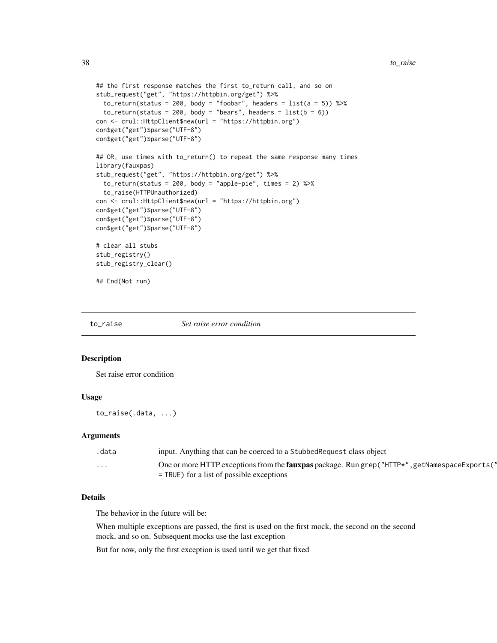```
## the first response matches the first to_return call, and so on
stub_request("get", "https://httpbin.org/get") %>%
 to_return(status = 200, body = "foobar", headers = list(a = 5)) %>%
 to_return(status = 200, body = "bears", headers = list(b = 6))con <- crul::HttpClient$new(url = "https://httpbin.org")
con$get("get")$parse("UTF-8")
con$get("get")$parse("UTF-8")
## OR, use times with to_return() to repeat the same response many times
library(fauxpas)
stub_request("get", "https://httpbin.org/get") %>%
 to_return(status = 200, body = "apple-pie", times = 2) %>%
 to_raise(HTTPUnauthorized)
con <- crul::HttpClient$new(url = "https://httpbin.org")
con$get("get")$parse("UTF-8")
con$get("get")$parse("UTF-8")
con$get("get")$parse("UTF-8")
# clear all stubs
stub_registry()
stub_registry_clear()
## End(Not run)
```
<span id="page-37-1"></span>to\_raise *Set raise error condition*

#### Description

Set raise error condition

### Usage

to\_raise(.data, ...)

### Arguments

| .data   | input. Anything that can be coerced to a Stubbed Request class object                                                                                 |
|---------|-------------------------------------------------------------------------------------------------------------------------------------------------------|
| $\cdot$ | One or more HTTP exceptions from the <b>fauxpas</b> package. Run grep ("HTTP*", getNamespaceExports ("<br>$=$ TRUE) for a list of possible exceptions |

### Details

The behavior in the future will be:

When multiple exceptions are passed, the first is used on the first mock, the second on the second mock, and so on. Subsequent mocks use the last exception

But for now, only the first exception is used until we get that fixed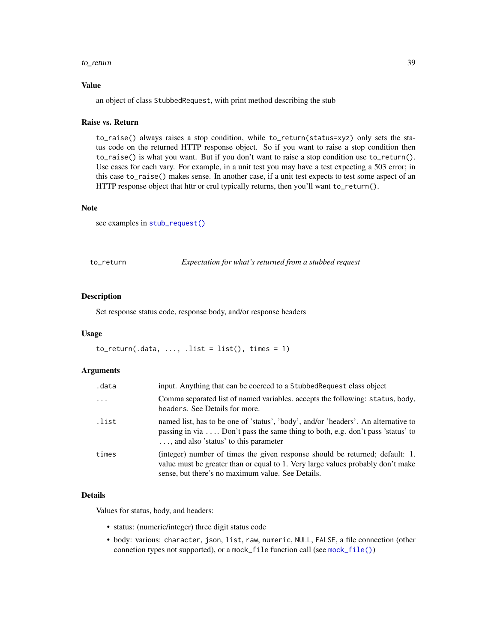#### <span id="page-38-0"></span>to\_return 39

#### Value

an object of class StubbedRequest, with print method describing the stub

#### Raise vs. Return

to\_raise() always raises a stop condition, while to\_return(status=xyz) only sets the status code on the returned HTTP response object. So if you want to raise a stop condition then to\_raise() is what you want. But if you don't want to raise a stop condition use to\_return(). Use cases for each vary. For example, in a unit test you may have a test expecting a 503 error; in this case to\_raise() makes sense. In another case, if a unit test expects to test some aspect of an HTTP response object that httr or crul typically returns, then you'll want to\_return().

#### Note

see examples in [stub\\_request\(\)](#page-34-1)

<span id="page-38-1"></span>to\_return *Expectation for what's returned from a stubbed request*

#### Description

Set response status code, response body, and/or response headers

#### Usage

 $to_return(.data, ..., .list = list(), times = 1)$ 

#### Arguments

| .data    | input. Anything that can be coerced to a Stubbed Request class object                                                                                                                                                |
|----------|----------------------------------------------------------------------------------------------------------------------------------------------------------------------------------------------------------------------|
| $\cdots$ | Comma separated list of named variables, accepts the following: status, body,<br>headers. See Details for more.                                                                                                      |
| .list    | named list, has to be one of 'status', 'body', and/or 'headers'. An alternative to<br>passing in via $\dots$ Don't pass the same thing to both, e.g. don't pass 'status' to<br>, and also 'status' to this parameter |
| times    | (integer) number of times the given response should be returned; default: 1.<br>value must be greater than or equal to 1. Very large values probably don't make<br>sense, but there's no maximum value. See Details. |

#### Details

Values for status, body, and headers:

- status: (numeric/integer) three digit status code
- body: various: character, json, list, raw, numeric, NULL, FALSE, a file connection (other connetion types not supported), or a mock\_file function call (see [mock\\_file\(\)](#page-12-1))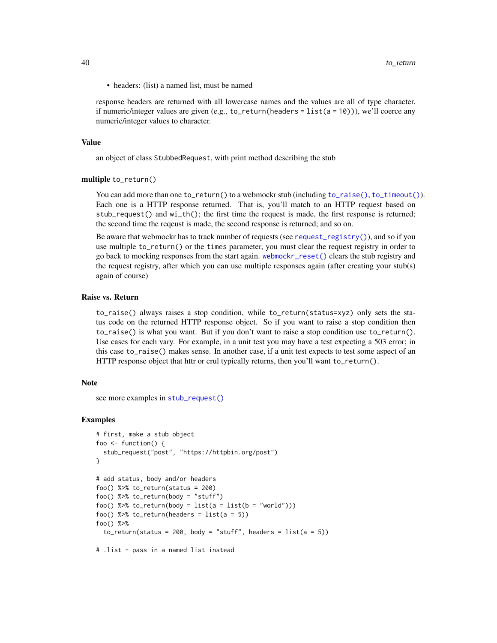<span id="page-39-0"></span>• headers: (list) a named list, must be named

response headers are returned with all lowercase names and the values are all of type character. if numeric/integer values are given (e.g.,  $to_{\text{return}}(headers = list(a = 10))$ ), we'll coerce any numeric/integer values to character.

#### Value

an object of class StubbedRequest, with print method describing the stub

#### multiple to\_return()

You can add more than one to\_return() to a webmockr stub (including [to\\_raise\(\)](#page-37-1), [to\\_timeout\(\)](#page-40-1)). Each one is a HTTP response returned. That is, you'll match to an HTTP request based on stub\_request() and wi\_th(); the first time the request is made, the first response is returned; the second time the reqeust is made, the second response is returned; and so on.

Be aware that webmockr has to track number of requests (see [request\\_registry\(\)](#page-21-1)), and so if you use multiple to\_return() or the times parameter, you must clear the request registry in order to go back to mocking responses from the start again. [webmockr\\_reset\(\)](#page-42-1) clears the stub registry and the request registry, after which you can use multiple responses again (after creating your stub(s) again of course)

#### Raise vs. Return

to\_raise() always raises a stop condition, while to\_return(status=xyz) only sets the status code on the returned HTTP response object. So if you want to raise a stop condition then to\_raise() is what you want. But if you don't want to raise a stop condition use to\_return(). Use cases for each vary. For example, in a unit test you may have a test expecting a 503 error; in this case to\_raise() makes sense. In another case, if a unit test expects to test some aspect of an HTTP response object that httr or crul typically returns, then you'll want to\_return().

#### Note

see more examples in [stub\\_request\(\)](#page-34-1)

#### Examples

```
# first, make a stub object
foo \le function() {
 stub_request("post", "https://httpbin.org/post")
}
# add status, body and/or headers
foo() %>% to_return(status = 200)
foo() %>% to_return(body = "stuff")
foo() %>% to_return(body = list(a = list(b = "world")))
foo() %>% to_return(headers = list(a = 5))
foo() %>%
 to_return(status = 200, body = "stuff", headers = list(a = 5))# .list - pass in a named list instead
```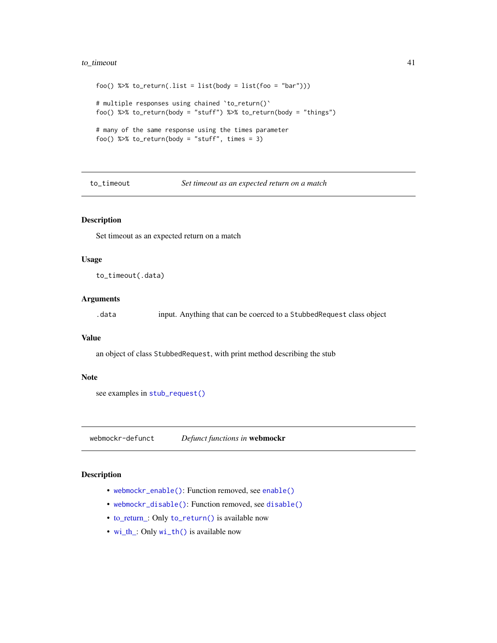### <span id="page-40-0"></span>to\_timeout 41

```
foo() %>% to_return(.list = list(body = list(foo = "bar")))
# multiple responses using chained `to_return()`
foo() %>% to_return(body = "stuff") %>% to_return(body = "things")
# many of the same response using the times parameter
foo() %>% to_return(body = "stuff", times = 3)
```
<span id="page-40-1"></span>to\_timeout *Set timeout as an expected return on a match*

### Description

Set timeout as an expected return on a match

#### Usage

to\_timeout(.data)

### Arguments

.data input. Anything that can be coerced to a StubbedRequest class object

#### Value

an object of class StubbedRequest, with print method describing the stub

#### Note

see examples in [stub\\_request\(\)](#page-34-1)

webmockr-defunct *Defunct functions in* webmockr

### Description

- [webmockr\\_enable\(\)](#page-0-0): Function removed, see [enable\(\)](#page-7-1)
- [webmockr\\_disable\(\)](#page-0-0): Function removed, see [disable\(\)](#page-7-2)
- [to\\_return\\_:](#page-0-0) Only [to\\_return\(\)](#page-38-1) is available now
- [wi\\_th\\_:](#page-0-0) Only [wi\\_th\(\)](#page-43-1) is available now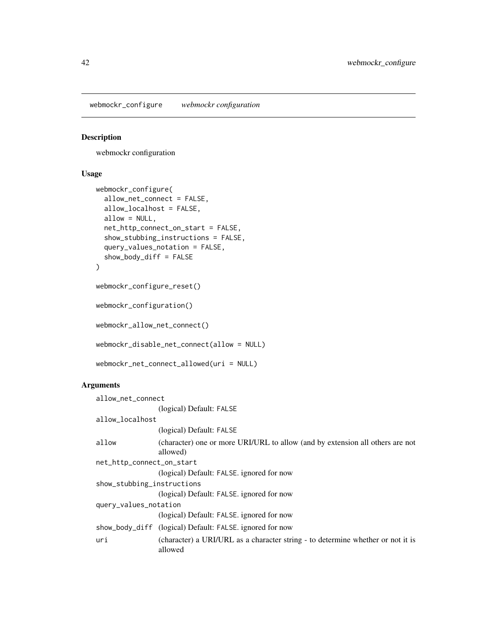<span id="page-41-0"></span>webmockr\_configure *webmockr configuration*

#### Description

webmockr configuration

#### Usage

```
webmockr_configure(
  allow_net_connect = FALSE,
  allow_localhost = FALSE,
  allow = NULL,
  net_http_connect_on_start = FALSE,
  show_stubbing_instructions = FALSE,
  query_values_notation = FALSE,
  show\_body\_diff = FALSE)
webmockr_configure_reset()
```
webmockr\_configuration()

webmockr\_allow\_net\_connect()

webmockr\_disable\_net\_connect(allow = NULL)

```
webmockr_net_connect_allowed(uri = NULL)
```
#### Arguments

```
allow_net_connect
                 (logical) Default: FALSE
allow_localhost
                 (logical) Default: FALSE
allow (character) one or more URI/URL to allow (and by extension all others are not
                 allowed)
net_http_connect_on_start
                 (logical) Default: FALSE. ignored for now
show_stubbing_instructions
                 (logical) Default: FALSE. ignored for now
query_values_notation
                 (logical) Default: FALSE. ignored for now
show_body_diff (logical) Default: FALSE. ignored for now
uri (character) a URI/URL as a character string - to determine whether or not it is
                 allowed
```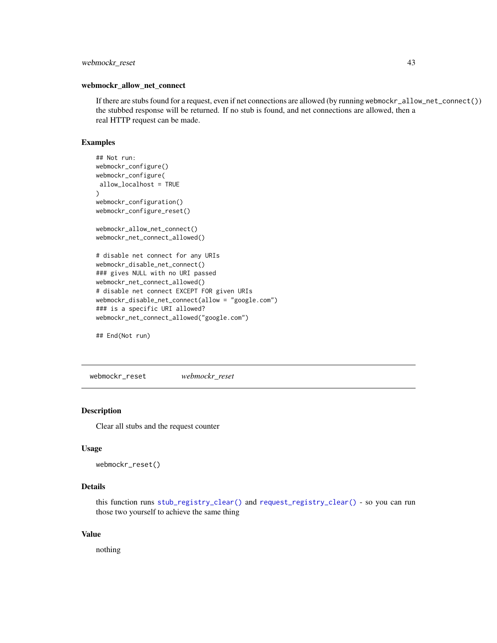### <span id="page-42-0"></span>webmockr\_reset 43

#### webmockr\_allow\_net\_connect

If there are stubs found for a request, even if net connections are allowed (by running webmockr\_allow\_net\_connect()) the stubbed response will be returned. If no stub is found, and net connections are allowed, then a real HTTP request can be made.

### Examples

```
## Not run:
webmockr_configure()
webmockr_configure(
allow_localhost = TRUE
)
webmockr_configuration()
webmockr_configure_reset()
webmockr_allow_net_connect()
webmockr_net_connect_allowed()
# disable net connect for any URIs
webmockr_disable_net_connect()
### gives NULL with no URI passed
webmockr_net_connect_allowed()
# disable net connect EXCEPT FOR given URIs
webmockr_disable_net_connect(allow = "google.com")
### is a specific URI allowed?
webmockr_net_connect_allowed("google.com")
```
## End(Not run)

<span id="page-42-1"></span>webmockr\_reset *webmockr\_reset*

#### **Description**

Clear all stubs and the request counter

#### Usage

```
webmockr_reset()
```
### Details

this function runs [stub\\_registry\\_clear\(\)](#page-33-1) and [request\\_registry\\_clear\(\)](#page-21-2) - so you can run those two yourself to achieve the same thing

### Value

nothing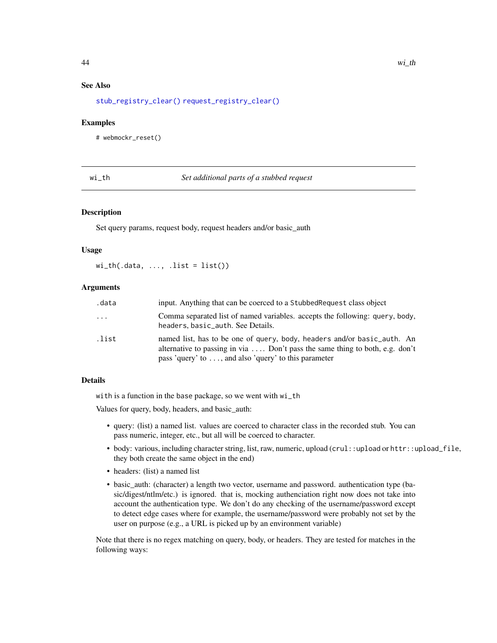### <span id="page-43-0"></span>See Also

[stub\\_registry\\_clear\(\)](#page-33-1) [request\\_registry\\_clear\(\)](#page-21-2)

#### Examples

# webmockr\_reset()

<span id="page-43-1"></span>wi\_th *Set additional parts of a stubbed request*

#### Description

Set query params, request body, request headers and/or basic\_auth

#### Usage

 $wi_th(.data, ..., .list = list())$ 

#### **Arguments**

| .data    | input. Anything that can be coerced to a Stubbed Request class object                                                                                                                                           |
|----------|-----------------------------------------------------------------------------------------------------------------------------------------------------------------------------------------------------------------|
| $\cdots$ | Comma separated list of named variables, accepts the following: query, body,<br>headers, basic_auth. See Details.                                                                                               |
| .list    | named list, has to be one of query, body, headers and/or basic_auth. An<br>alternative to passing in via  Don't pass the same thing to both, e.g. don't<br>pass 'query' to , and also 'query' to this parameter |

### Details

with is a function in the base package, so we went with wi\_th

Values for query, body, headers, and basic\_auth:

- query: (list) a named list. values are coerced to character class in the recorded stub. You can pass numeric, integer, etc., but all will be coerced to character.
- body: various, including character string, list, raw, numeric, upload (crul::upload or httr::upload\_file, they both create the same object in the end)
- headers: (list) a named list
- basic\_auth: (character) a length two vector, username and password. authentication type (basic/digest/ntlm/etc.) is ignored. that is, mocking authenciation right now does not take into account the authentication type. We don't do any checking of the username/password except to detect edge cases where for example, the username/password were probably not set by the user on purpose (e.g., a URL is picked up by an environment variable)

Note that there is no regex matching on query, body, or headers. They are tested for matches in the following ways: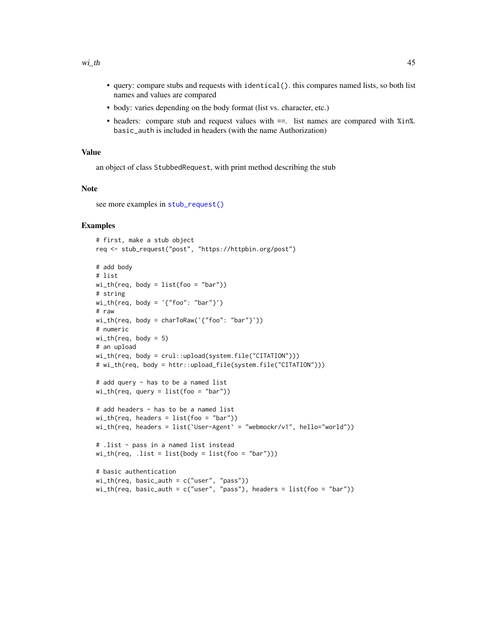- <span id="page-44-0"></span>• query: compare stubs and requests with identical(). this compares named lists, so both list names and values are compared
- body: varies depending on the body format (list vs. character, etc.)
- headers: compare stub and request values with  $==$ . list names are compared with %in%. basic\_auth is included in headers (with the name Authorization)

#### Value

an object of class StubbedRequest, with print method describing the stub

#### **Note**

see more examples in [stub\\_request\(\)](#page-34-1)

#### Examples

```
# first, make a stub object
req <- stub_request("post", "https://httpbin.org/post")
# add body
# list
wi_th(req, body = list(foo = "bar")# string
wi_th(req, body = '{'roo": 'bar''}}')# raw
wi_th(req, body = charToRaw('{"foo": "bar"}'))
# numeric
wi_th(req, body = 5)# an upload
wi_th(req, body = crul::upload(system.file("CITATION")))
# wi_th(req, body = httr::upload_file(system.file("CITATION")))
# add query - has to be a named list
wi_th(req, query = list(foo = "bar"))# add headers - has to be a named list
wi_th(req, headers = list(foo = "bar")wi_th(req, headers = list(`User-Agent` = "webmockr/v1", hello="world"))
# .list - pass in a named list instead
wi_th(req, .list = list(body = list(foo = "bar")))# basic authentication
wi_th(req, basic_auth = c("user", "pass"))
wi_th(req, basic_auth = c("user", "pass"), headers = list(foo = "bar")
```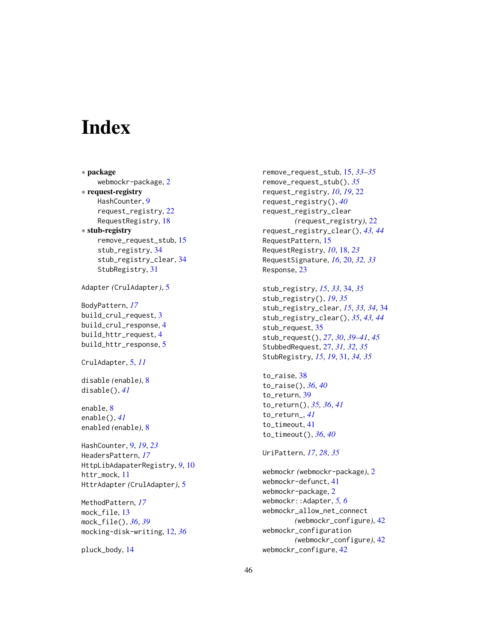# <span id="page-45-0"></span>**Index**

∗ package webmockr-package, [2](#page-1-0) ∗ request-registry HashCounter, [9](#page-8-0) request\_registry, [22](#page-21-0) RequestRegistry, [18](#page-17-0) ∗ stub-registry remove\_request\_stub, [15](#page-14-0) stub\_registry, [34](#page-33-0) stub\_registry\_clear, [34](#page-33-0) StubRegistry, [31](#page-30-0) Adapter *(*CrulAdapter*)*, [5](#page-4-0) BodyPattern, *[17](#page-16-0)* build\_crul\_request, [3](#page-2-0) build\_crul\_response, [4](#page-3-0) build\_httr\_request, [4](#page-3-0) build\_httr\_response, [5](#page-4-0) CrulAdapter, [5,](#page-4-0) *[11](#page-10-0)* disable *(*enable*)*, [8](#page-7-0) disable(), *[41](#page-40-0)* enable, [8](#page-7-0) enable(), *[41](#page-40-0)* enabled *(*enable*)*, [8](#page-7-0) HashCounter, [9,](#page-8-0) *[19](#page-18-1)*, *[23](#page-22-0)* HeadersPattern, *[17](#page-16-0)* HttpLibAdapaterRegistry, *[9](#page-8-0)*, [10](#page-9-0) httr\_mock, [11](#page-10-0) HttrAdapter *(*CrulAdapter*)*, [5](#page-4-0) MethodPattern, *[17](#page-16-0)* mock\_file, [13](#page-12-0) mock\_file(), *[36](#page-35-0)*, *[39](#page-38-0)* mocking-disk-writing, [12,](#page-11-0) *[36](#page-35-0)*

```
pluck_body, 14
```
remove\_request\_stub, [15,](#page-14-0) *[33](#page-32-1)[–35](#page-34-0)* remove\_request\_stub(), *[35](#page-34-0)* request\_registry, *[10](#page-9-0)*, *[19](#page-18-1)*, [22](#page-21-0) request\_registry(), *[40](#page-39-0)* request\_registry\_clear *(*request\_registry*)*, [22](#page-21-0) request\_registry\_clear(), *[43,](#page-42-0) [44](#page-43-0)* RequestPattern, [15](#page-14-0) RequestRegistry, *[10](#page-9-0)*, [18,](#page-17-0) *[23](#page-22-0)* RequestSignature, *[16](#page-15-2)*, [20,](#page-19-0) *[32,](#page-31-5) [33](#page-32-1)* Response, [23](#page-22-0)

```
stub_registry, 15, 33, 34, 35
stub_registry(), 19, 35
stub_registry_clear, 15, 33, 34, 34
stub_registry_clear(), 35, 43, 44
stub_request, 35
stub_request(), 27, 30, 39–41, 45
StubbedRequest, 27, 31, 32, 35
StubRegistry, 15, 19, 31, 34, 35
```
to\_raise, [38](#page-37-0) to\_raise(), *[36](#page-35-0)*, *[40](#page-39-0)* to\_return, [39](#page-38-0) to\_return(), *[35,](#page-34-0) [36](#page-35-0)*, *[41](#page-40-0)* to\_return\_, *[41](#page-40-0)* to\_timeout, [41](#page-40-0) to\_timeout(), *[36](#page-35-0)*, *[40](#page-39-0)*

```
UriPattern, 17, 28, 35
```
webmockr *(*webmockr-package*)*, [2](#page-1-0) webmockr-defunct, [41](#page-40-0) webmockr-package, [2](#page-1-0) webmockr::Adapter, *[5,](#page-4-0) [6](#page-5-2)* webmockr\_allow\_net\_connect *(*webmockr\_configure*)*, [42](#page-41-0) webmockr\_configuration *(*webmockr\_configure*)*, [42](#page-41-0) webmockr\_configure, [42](#page-41-0)